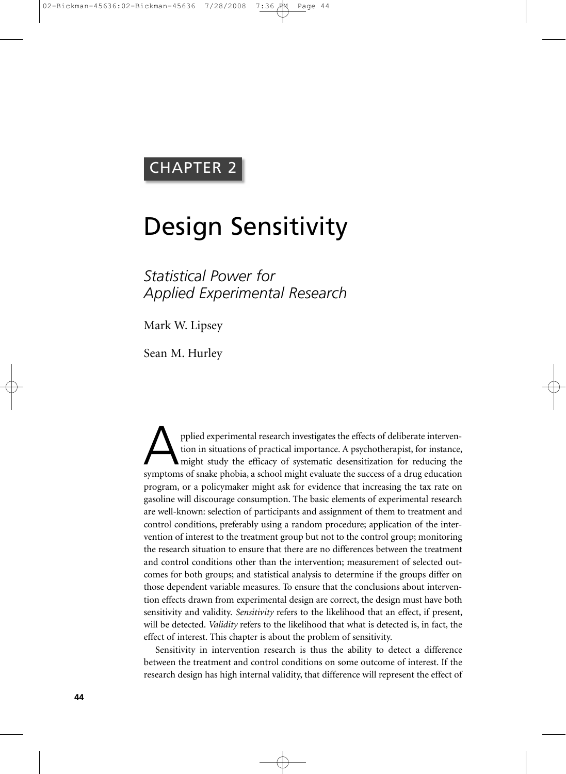# CHAPTER 2

# Design Sensitivity

*Statistical Power for Applied Experimental Research*

Mark W. Lipsey

Sean M. Hurley

pplied experimental research investigates the effects of deliberate intervention in situations of practical importance. A psychotherapist, for instance might study the efficacy of systematic desensitization for reducing th tion in situations of practical importance. A psychotherapist, for instance, might study the efficacy of systematic desensitization for reducing the symptoms of snake phobia, a school might evaluate the success of a drug education program, or a policymaker might ask for evidence that increasing the tax rate on gasoline will discourage consumption. The basic elements of experimental research are well-known: selection of participants and assignment of them to treatment and control conditions, preferably using a random procedure; application of the intervention of interest to the treatment group but not to the control group; monitoring the research situation to ensure that there are no differences between the treatment and control conditions other than the intervention; measurement of selected outcomes for both groups; and statistical analysis to determine if the groups differ on those dependent variable measures. To ensure that the conclusions about intervention effects drawn from experimental design are correct, the design must have both sensitivity and validity. *Sensitivity* refers to the likelihood that an effect, if present, will be detected. *Validity* refers to the likelihood that what is detected is, in fact, the effect of interest. This chapter is about the problem of sensitivity.

Sensitivity in intervention research is thus the ability to detect a difference between the treatment and control conditions on some outcome of interest. If the research design has high internal validity, that difference will represent the effect of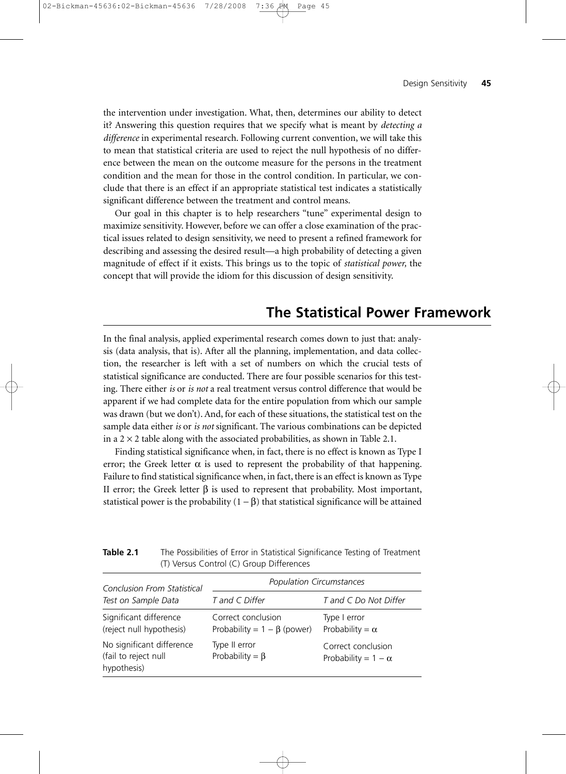the intervention under investigation. What, then, determines our ability to detect it? Answering this question requires that we specify what is meant by *detecting a difference* in experimental research. Following current convention, we will take this to mean that statistical criteria are used to reject the null hypothesis of no difference between the mean on the outcome measure for the persons in the treatment condition and the mean for those in the control condition. In particular, we conclude that there is an effect if an appropriate statistical test indicates a statistically significant difference between the treatment and control means.

Our goal in this chapter is to help researchers "tune" experimental design to maximize sensitivity. However, before we can offer a close examination of the practical issues related to design sensitivity, we need to present a refined framework for describing and assessing the desired result—a high probability of detecting a given magnitude of effect if it exists. This brings us to the topic of *statistical power,* the concept that will provide the idiom for this discussion of design sensitivity.

# **The Statistical Power Framework**

In the final analysis, applied experimental research comes down to just that: analysis (data analysis, that is). After all the planning, implementation, and data collection, the researcher is left with a set of numbers on which the crucial tests of statistical significance are conducted. There are four possible scenarios for this testing. There either *is* or *is not* a real treatment versus control difference that would be apparent if we had complete data for the entire population from which our sample was drawn (but we don't). And, for each of these situations, the statistical test on the sample data either *is* or *is not* significant. The various combinations can be depicted in a  $2 \times 2$  table along with the associated probabilities, as shown in Table 2.1.

Finding statistical significance when, in fact, there is no effect is known as Type I error; the Greek letter  $\alpha$  is used to represent the probability of that happening. Failure to find statistical significance when, in fact, there is an effect is known as Type II error; the Greek letter β is used to represent that probability. Most important, statistical power is the probability  $(1 - \beta)$  that statistical significance will be attained

| Table 2.1 | The Possibilities of Error in Statistical Significance Testing of Treatment |
|-----------|-----------------------------------------------------------------------------|
|           | (T) Versus Control (C) Group Differences                                    |

| <b>Conclusion From Statistical</b>                               | Population Circumstances                                |                                                  |  |  |
|------------------------------------------------------------------|---------------------------------------------------------|--------------------------------------------------|--|--|
| Test on Sample Data                                              | T and C Differ                                          | T and C Do Not Differ                            |  |  |
| Significant difference<br>(reject null hypothesis)               | Correct conclusion<br>Probability = $1 - \beta$ (power) | Type I error<br>Probability = $\alpha$           |  |  |
| No significant difference<br>(fail to reject null<br>hypothesis) | Type II error<br>Probability = $\beta$                  | Correct conclusion<br>Probability = $1 - \alpha$ |  |  |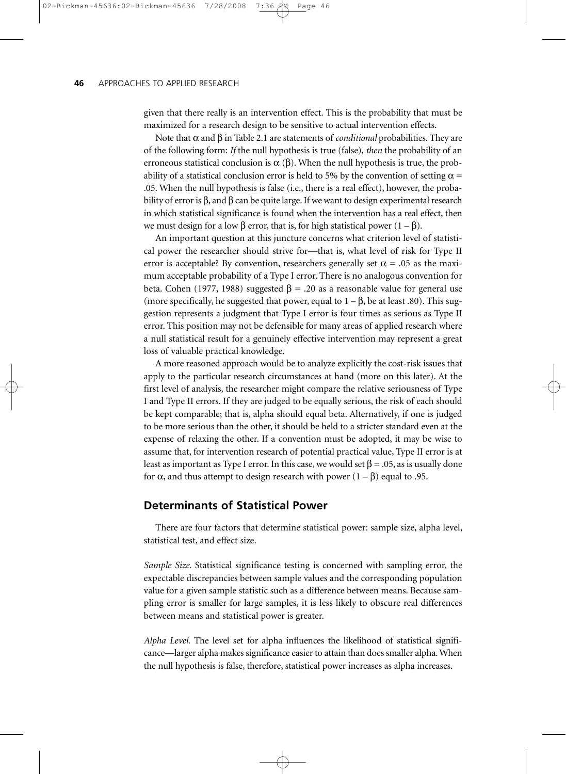given that there really is an intervention effect. This is the probability that must be maximized for a research design to be sensitive to actual intervention effects.

Note that α and β in Table 2.1 are statements of *conditional* probabilities. They are of the following form: *If* the null hypothesis is true (false), *then* the probability of an erroneous statistical conclusion is  $\alpha$  (β). When the null hypothesis is true, the probability of a statistical conclusion error is held to 5% by the convention of setting  $\alpha$  = .05. When the null hypothesis is false (i.e., there is a real effect), however, the probability of error is  $\beta$ , and  $\beta$  can be quite large. If we want to design experimental research in which statistical significance is found when the intervention has a real effect, then we must design for a low β error, that is, for high statistical power  $(1 – β)$ .

An important question at this juncture concerns what criterion level of statistical power the researcher should strive for—that is, what level of risk for Type II error is acceptable? By convention, researchers generally set  $\alpha = .05$  as the maximum acceptable probability of a Type I error. There is no analogous convention for beta. Cohen (1977, 1988) suggested  $\beta = 0.20$  as a reasonable value for general use (more specifically, he suggested that power, equal to  $1 - \beta$ , be at least .80). This suggestion represents a judgment that Type I error is four times as serious as Type II error. This position may not be defensible for many areas of applied research where a null statistical result for a genuinely effective intervention may represent a great loss of valuable practical knowledge.

A more reasoned approach would be to analyze explicitly the cost-risk issues that apply to the particular research circumstances at hand (more on this later). At the first level of analysis, the researcher might compare the relative seriousness of Type I and Type II errors. If they are judged to be equally serious, the risk of each should be kept comparable; that is, alpha should equal beta. Alternatively, if one is judged to be more serious than the other, it should be held to a stricter standard even at the expense of relaxing the other. If a convention must be adopted, it may be wise to assume that, for intervention research of potential practical value, Type II error is at least as important as Type I error. In this case, we would set  $β = .05$ , as is usually done for α, and thus attempt to design research with power (1 – β) equal to .95.

# **Determinants of Statistical Power**

There are four factors that determine statistical power: sample size, alpha level, statistical test, and effect size.

*Sample Size.* Statistical significance testing is concerned with sampling error, the expectable discrepancies between sample values and the corresponding population value for a given sample statistic such as a difference between means. Because sampling error is smaller for large samples, it is less likely to obscure real differences between means and statistical power is greater.

*Alpha Level.* The level set for alpha influences the likelihood of statistical significance—larger alpha makes significance easier to attain than does smaller alpha. When the null hypothesis is false, therefore, statistical power increases as alpha increases.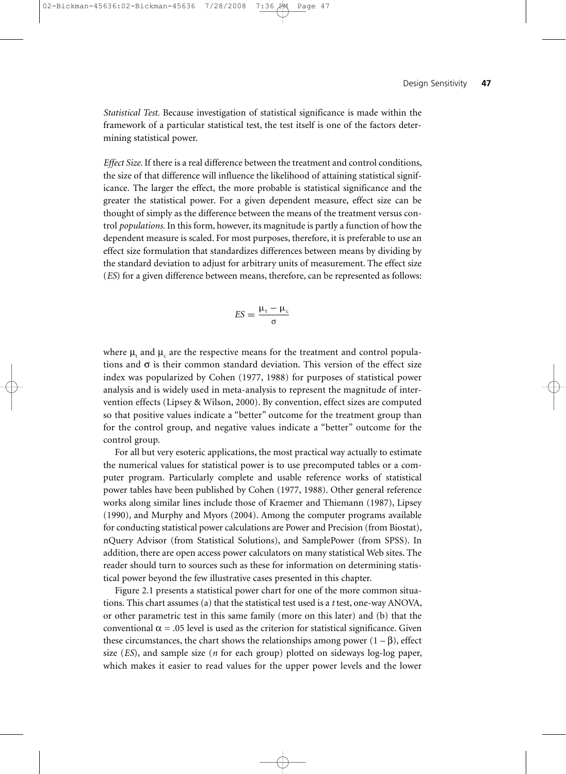*Statistical Test.* Because investigation of statistical significance is made within the framework of a particular statistical test, the test itself is one of the factors determining statistical power.

*Effect Size.* If there is a real difference between the treatment and control conditions, the size of that difference will influence the likelihood of attaining statistical significance. The larger the effect, the more probable is statistical significance and the greater the statistical power. For a given dependent measure, effect size can be thought of simply as the difference between the means of the treatment versus control *populations.* In this form, however, its magnitude is partly a function of how the dependent measure is scaled. For most purposes, therefore, it is preferable to use an effect size formulation that standardizes differences between means by dividing by the standard deviation to adjust for arbitrary units of measurement. The effect size (*ES*) for a given difference between means, therefore, can be represented as follows:

$$
\mathit{ES} = \frac{\mu_t - \mu_c}{\sigma}
$$

where  $\mu$ , and  $\mu$  are the respective means for the treatment and control populations and  $\sigma$  is their common standard deviation. This version of the effect size index was popularized by Cohen (1977, 1988) for purposes of statistical power analysis and is widely used in meta-analysis to represent the magnitude of intervention effects (Lipsey & Wilson, 2000). By convention, effect sizes are computed so that positive values indicate a "better" outcome for the treatment group than for the control group, and negative values indicate a "better" outcome for the control group.

For all but very esoteric applications, the most practical way actually to estimate the numerical values for statistical power is to use precomputed tables or a computer program. Particularly complete and usable reference works of statistical power tables have been published by Cohen (1977, 1988). Other general reference works along similar lines include those of Kraemer and Thiemann (1987), Lipsey (1990), and Murphy and Myors (2004). Among the computer programs available for conducting statistical power calculations are Power and Precision (from Biostat), nQuery Advisor (from Statistical Solutions), and SamplePower (from SPSS). In addition, there are open access power calculators on many statistical Web sites. The reader should turn to sources such as these for information on determining statistical power beyond the few illustrative cases presented in this chapter.

Figure 2.1 presents a statistical power chart for one of the more common situations. This chart assumes (a) that the statistical test used is a *t* test, one-way ANOVA, or other parametric test in this same family (more on this later) and (b) that the conventional  $\alpha$  = .05 level is used as the criterion for statistical significance. Given these circumstances, the chart shows the relationships among power  $(1 - \beta)$ , effect size (*ES*), and sample size (*n* for each group) plotted on sideways log-log paper, which makes it easier to read values for the upper power levels and the lower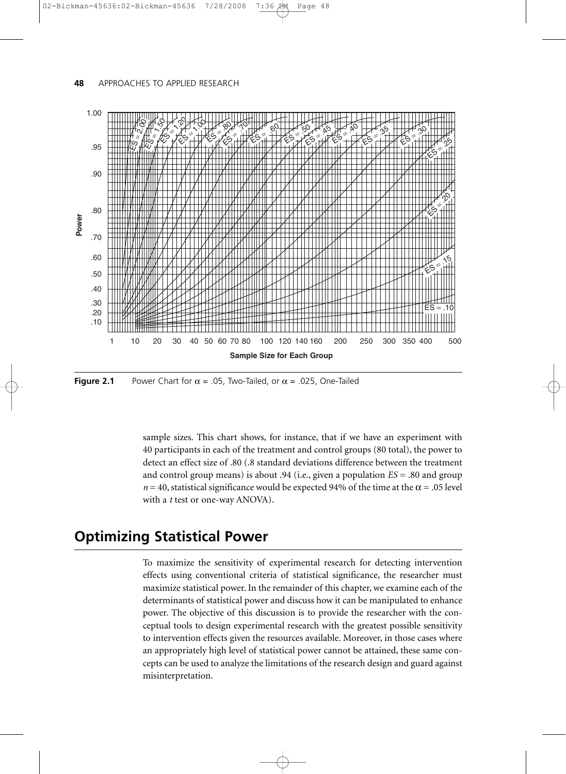

**Figure 2.1** Power Chart for  $\alpha = .05$ , Two-Tailed, or  $\alpha = .025$ , One-Tailed

sample sizes. This chart shows, for instance, that if we have an experiment with 40 participants in each of the treatment and control groups (80 total), the power to detect an effect size of .80 (.8 standard deviations difference between the treatment and control group means) is about .94 (i.e., given a population *ES* = .80 and group  $n = 40$ , statistical significance would be expected 94% of the time at the  $\alpha = .05$  level with a *t* test or one-way ANOVA).

# **Optimizing Statistical Power**

To maximize the sensitivity of experimental research for detecting intervention effects using conventional criteria of statistical significance, the researcher must maximize statistical power. In the remainder of this chapter, we examine each of the determinants of statistical power and discuss how it can be manipulated to enhance power. The objective of this discussion is to provide the researcher with the conceptual tools to design experimental research with the greatest possible sensitivity to intervention effects given the resources available. Moreover, in those cases where an appropriately high level of statistical power cannot be attained, these same concepts can be used to analyze the limitations of the research design and guard against misinterpretation.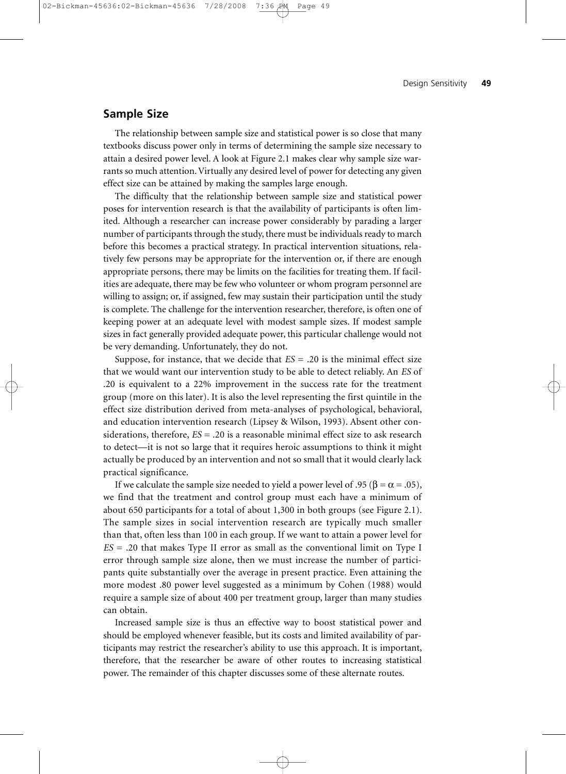# **Sample Size**

The relationship between sample size and statistical power is so close that many textbooks discuss power only in terms of determining the sample size necessary to attain a desired power level. A look at Figure 2.1 makes clear why sample size warrants so much attention. Virtually any desired level of power for detecting any given effect size can be attained by making the samples large enough.

The difficulty that the relationship between sample size and statistical power poses for intervention research is that the availability of participants is often limited. Although a researcher can increase power considerably by parading a larger number of participants through the study, there must be individuals ready to march before this becomes a practical strategy. In practical intervention situations, relatively few persons may be appropriate for the intervention or, if there are enough appropriate persons, there may be limits on the facilities for treating them. If facilities are adequate, there may be few who volunteer or whom program personnel are willing to assign; or, if assigned, few may sustain their participation until the study is complete. The challenge for the intervention researcher, therefore, is often one of keeping power at an adequate level with modest sample sizes. If modest sample sizes in fact generally provided adequate power, this particular challenge would not be very demanding. Unfortunately, they do not.

Suppose, for instance, that we decide that *ES* = .20 is the minimal effect size that we would want our intervention study to be able to detect reliably. An *ES* of .20 is equivalent to a 22% improvement in the success rate for the treatment group (more on this later). It is also the level representing the first quintile in the effect size distribution derived from meta-analyses of psychological, behavioral, and education intervention research (Lipsey & Wilson, 1993). Absent other considerations, therefore,  $ES = .20$  is a reasonable minimal effect size to ask research to detect—it is not so large that it requires heroic assumptions to think it might actually be produced by an intervention and not so small that it would clearly lack practical significance.

If we calculate the sample size needed to yield a power level of .95 ( $\beta = \alpha = .05$ ), we find that the treatment and control group must each have a minimum of about 650 participants for a total of about 1,300 in both groups (see Figure 2.1). The sample sizes in social intervention research are typically much smaller than that, often less than 100 in each group. If we want to attain a power level for *ES* = .20 that makes Type II error as small as the conventional limit on Type I error through sample size alone, then we must increase the number of participants quite substantially over the average in present practice. Even attaining the more modest .80 power level suggested as a minimum by Cohen (1988) would require a sample size of about 400 per treatment group, larger than many studies can obtain.

Increased sample size is thus an effective way to boost statistical power and should be employed whenever feasible, but its costs and limited availability of participants may restrict the researcher's ability to use this approach. It is important, therefore, that the researcher be aware of other routes to increasing statistical power. The remainder of this chapter discusses some of these alternate routes.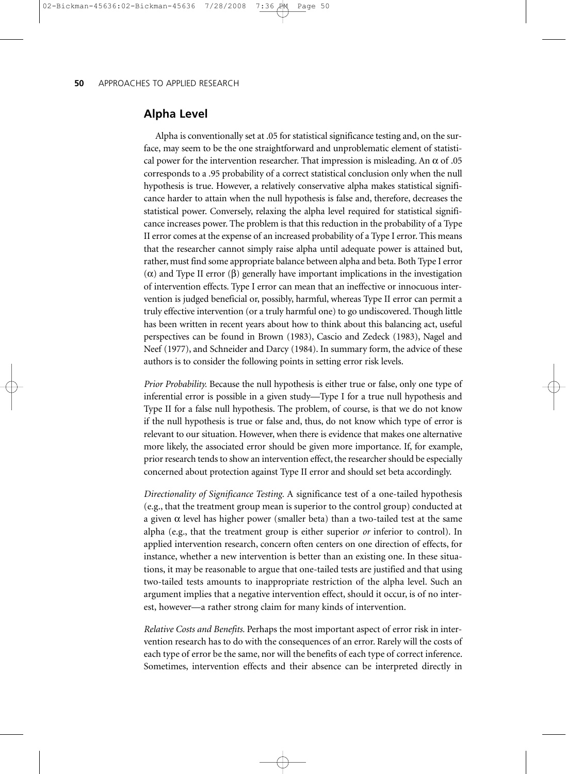# **Alpha Level**

Alpha is conventionally set at .05 for statistical significance testing and, on the surface, may seem to be the one straightforward and unproblematic element of statistical power for the intervention researcher. That impression is misleading. An  $\alpha$  of .05 corresponds to a .95 probability of a correct statistical conclusion only when the null hypothesis is true. However, a relatively conservative alpha makes statistical significance harder to attain when the null hypothesis is false and, therefore, decreases the statistical power. Conversely, relaxing the alpha level required for statistical significance increases power. The problem is that this reduction in the probability of a Type II error comes at the expense of an increased probability of a Type I error. This means that the researcher cannot simply raise alpha until adequate power is attained but, rather, must find some appropriate balance between alpha and beta. Both Type I error (α) and Type II error (β) generally have important implications in the investigation of intervention effects. Type I error can mean that an ineffective or innocuous intervention is judged beneficial or, possibly, harmful, whereas Type II error can permit a truly effective intervention (or a truly harmful one) to go undiscovered. Though little has been written in recent years about how to think about this balancing act, useful perspectives can be found in Brown (1983), Cascio and Zedeck (1983), Nagel and Neef (1977), and Schneider and Darcy (1984). In summary form, the advice of these authors is to consider the following points in setting error risk levels.

*Prior Probability.* Because the null hypothesis is either true or false, only one type of inferential error is possible in a given study—Type I for a true null hypothesis and Type II for a false null hypothesis. The problem, of course, is that we do not know if the null hypothesis is true or false and, thus, do not know which type of error is relevant to our situation. However, when there is evidence that makes one alternative more likely, the associated error should be given more importance. If, for example, prior research tends to show an intervention effect, the researcher should be especially concerned about protection against Type II error and should set beta accordingly.

*Directionality of Significance Testing.* A significance test of a one-tailed hypothesis (e.g., that the treatment group mean is superior to the control group) conducted at a given  $\alpha$  level has higher power (smaller beta) than a two-tailed test at the same alpha (e.g., that the treatment group is either superior *or* inferior to control). In applied intervention research, concern often centers on one direction of effects, for instance, whether a new intervention is better than an existing one. In these situations, it may be reasonable to argue that one-tailed tests are justified and that using two-tailed tests amounts to inappropriate restriction of the alpha level. Such an argument implies that a negative intervention effect, should it occur, is of no interest, however—a rather strong claim for many kinds of intervention.

*Relative Costs and Benefits.* Perhaps the most important aspect of error risk in intervention research has to do with the consequences of an error. Rarely will the costs of each type of error be the same, nor will the benefits of each type of correct inference. Sometimes, intervention effects and their absence can be interpreted directly in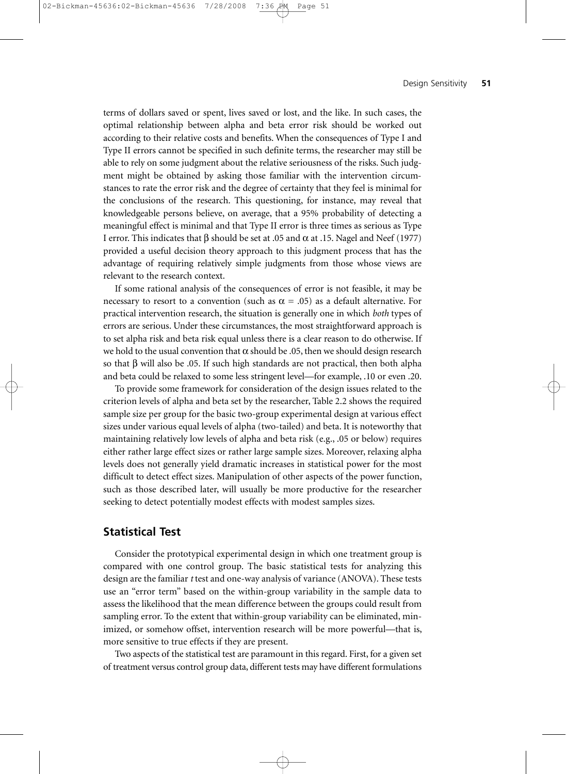terms of dollars saved or spent, lives saved or lost, and the like. In such cases, the optimal relationship between alpha and beta error risk should be worked out according to their relative costs and benefits. When the consequences of Type I and Type II errors cannot be specified in such definite terms, the researcher may still be able to rely on some judgment about the relative seriousness of the risks. Such judgment might be obtained by asking those familiar with the intervention circumstances to rate the error risk and the degree of certainty that they feel is minimal for the conclusions of the research. This questioning, for instance, may reveal that knowledgeable persons believe, on average, that a 95% probability of detecting a meaningful effect is minimal and that Type II error is three times as serious as Type I error. This indicates that  $β$  should be set at .05 and  $α$  at .15. Nagel and Neef (1977) provided a useful decision theory approach to this judgment process that has the advantage of requiring relatively simple judgments from those whose views are relevant to the research context.

If some rational analysis of the consequences of error is not feasible, it may be necessary to resort to a convention (such as  $\alpha = .05$ ) as a default alternative. For practical intervention research, the situation is generally one in which *both* types of errors are serious. Under these circumstances, the most straightforward approach is to set alpha risk and beta risk equal unless there is a clear reason to do otherwise. If we hold to the usual convention that  $\alpha$  should be .05, then we should design research so that β will also be .05. If such high standards are not practical, then both alpha and beta could be relaxed to some less stringent level—for example, .10 or even .20.

To provide some framework for consideration of the design issues related to the criterion levels of alpha and beta set by the researcher, Table 2.2 shows the required sample size per group for the basic two-group experimental design at various effect sizes under various equal levels of alpha (two-tailed) and beta. It is noteworthy that maintaining relatively low levels of alpha and beta risk (e.g., .05 or below) requires either rather large effect sizes or rather large sample sizes. Moreover, relaxing alpha levels does not generally yield dramatic increases in statistical power for the most difficult to detect effect sizes. Manipulation of other aspects of the power function, such as those described later, will usually be more productive for the researcher seeking to detect potentially modest effects with modest samples sizes.

# **Statistical Test**

Consider the prototypical experimental design in which one treatment group is compared with one control group. The basic statistical tests for analyzing this design are the familiar *t* test and one-way analysis of variance (ANOVA). These tests use an "error term" based on the within-group variability in the sample data to assess the likelihood that the mean difference between the groups could result from sampling error. To the extent that within-group variability can be eliminated, minimized, or somehow offset, intervention research will be more powerful—that is, more sensitive to true effects if they are present.

Two aspects of the statistical test are paramount in this regard. First, for a given set of treatment versus control group data, different tests may have different formulations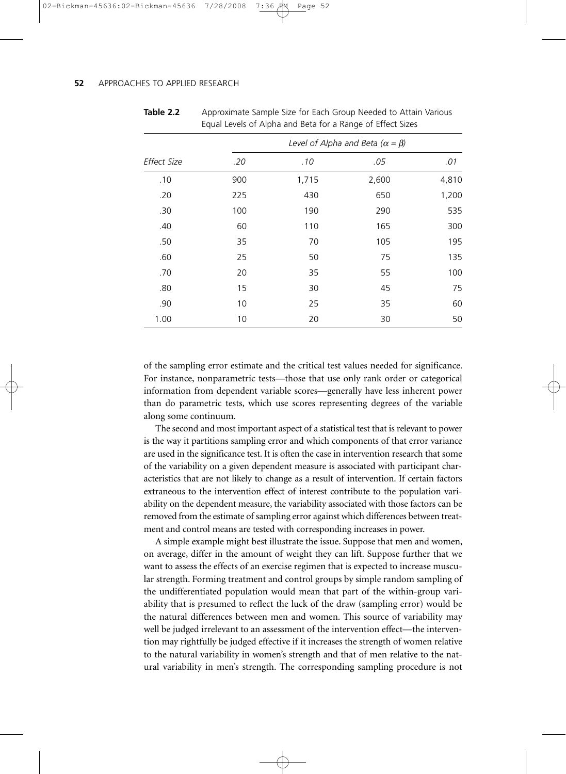| .<br>.<br>. |     |       |                                            |       |  |  |  |
|-------------|-----|-------|--------------------------------------------|-------|--|--|--|
| Effect Size |     |       | Level of Alpha and Beta $(\alpha = \beta)$ |       |  |  |  |
|             | .20 | .10   | .05                                        | .01   |  |  |  |
| .10         | 900 | 1,715 | 2,600                                      | 4,810 |  |  |  |
| .20         | 225 | 430   | 650                                        | 1,200 |  |  |  |
| .30         | 100 | 190   | 290                                        | 535   |  |  |  |
| .40         | 60  | 110   | 165                                        | 300   |  |  |  |
| .50         | 35  | 70    | 105                                        | 195   |  |  |  |
| .60         | 25  | 50    | 75                                         | 135   |  |  |  |
| .70         | 20  | 35    | 55                                         | 100   |  |  |  |
| .80         | 15  | 30    | 45                                         | 75    |  |  |  |
| .90         | 10  | 25    | 35                                         | 60    |  |  |  |
| 1.00        | 10  | 20    | 30                                         | 50    |  |  |  |

**Table 2.2** Approximate Sample Size for Each Group Needed to Attain Various Equal Levels of Alpha and Beta for a Range of Effect Sizes

of the sampling error estimate and the critical test values needed for significance. For instance, nonparametric tests—those that use only rank order or categorical information from dependent variable scores—generally have less inherent power than do parametric tests, which use scores representing degrees of the variable along some continuum.

The second and most important aspect of a statistical test that is relevant to power is the way it partitions sampling error and which components of that error variance are used in the significance test. It is often the case in intervention research that some of the variability on a given dependent measure is associated with participant characteristics that are not likely to change as a result of intervention. If certain factors extraneous to the intervention effect of interest contribute to the population variability on the dependent measure, the variability associated with those factors can be removed from the estimate of sampling error against which differences between treatment and control means are tested with corresponding increases in power.

A simple example might best illustrate the issue. Suppose that men and women, on average, differ in the amount of weight they can lift. Suppose further that we want to assess the effects of an exercise regimen that is expected to increase muscular strength. Forming treatment and control groups by simple random sampling of the undifferentiated population would mean that part of the within-group variability that is presumed to reflect the luck of the draw (sampling error) would be the natural differences between men and women. This source of variability may well be judged irrelevant to an assessment of the intervention effect—the intervention may rightfully be judged effective if it increases the strength of women relative to the natural variability in women's strength and that of men relative to the natural variability in men's strength. The corresponding sampling procedure is not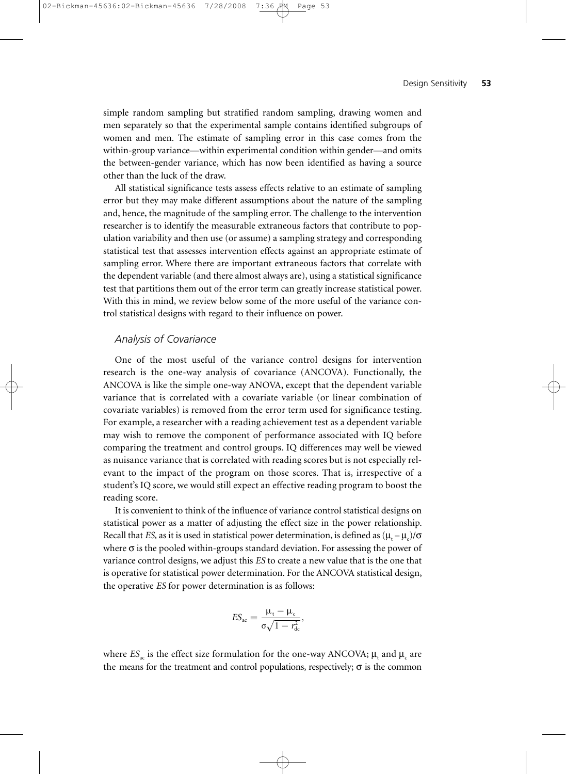simple random sampling but stratified random sampling, drawing women and men separately so that the experimental sample contains identified subgroups of women and men. The estimate of sampling error in this case comes from the within-group variance—within experimental condition within gender—and omits the between-gender variance, which has now been identified as having a source other than the luck of the draw.

All statistical significance tests assess effects relative to an estimate of sampling error but they may make different assumptions about the nature of the sampling and, hence, the magnitude of the sampling error. The challenge to the intervention researcher is to identify the measurable extraneous factors that contribute to population variability and then use (or assume) a sampling strategy and corresponding statistical test that assesses intervention effects against an appropriate estimate of sampling error. Where there are important extraneous factors that correlate with the dependent variable (and there almost always are), using a statistical significance test that partitions them out of the error term can greatly increase statistical power. With this in mind, we review below some of the more useful of the variance control statistical designs with regard to their influence on power.

### *Analysis of Covariance*

One of the most useful of the variance control designs for intervention research is the one-way analysis of covariance (ANCOVA). Functionally, the ANCOVA is like the simple one-way ANOVA, except that the dependent variable variance that is correlated with a covariate variable (or linear combination of covariate variables) is removed from the error term used for significance testing. For example, a researcher with a reading achievement test as a dependent variable may wish to remove the component of performance associated with IQ before comparing the treatment and control groups. IQ differences may well be viewed as nuisance variance that is correlated with reading scores but is not especially relevant to the impact of the program on those scores. That is, irrespective of a student's IQ score, we would still expect an effective reading program to boost the reading score.

It is convenient to think of the influence of variance control statistical designs on statistical power as a matter of adjusting the effect size in the power relationship. Recall that *ES*, as it is used in statistical power determination, is defined as  $(\mu_t - \mu_c)/\sigma$ where  $\sigma$  is the pooled within-groups standard deviation. For assessing the power of variance control designs, we adjust this *ES* to create a new value that is the one that is operative for statistical power determination. For the ANCOVA statistical design, the operative *ES* for power determination is as follows:

$$
E S_{ac} = \frac{\mu_t - \mu_c}{\sigma \sqrt{1 - r_{dc}^2}},
$$

where  $ES_{ac}$  is the effect size formulation for the one-way ANCOVA;  $\mu_t$  and  $\mu_c$  are the means for the treatment and control populations, respectively;  $\sigma$  is the common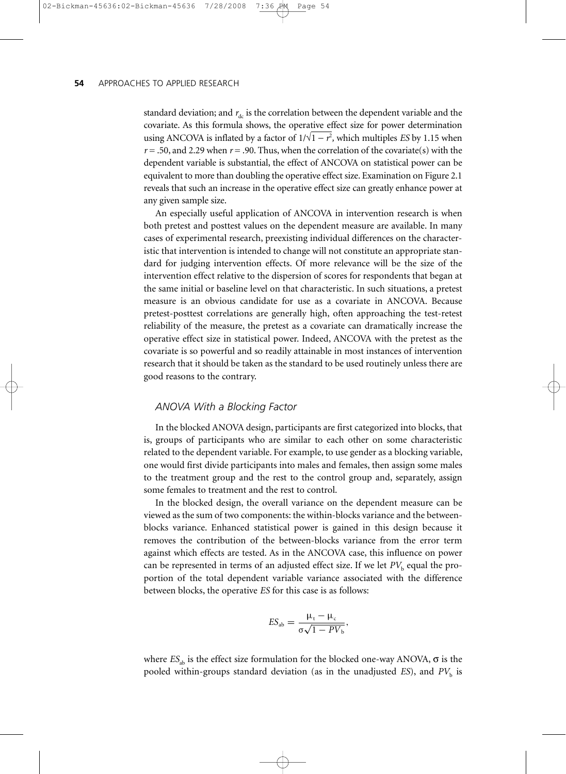02-Bickman-45636:02-Bickman-45636 7/28/2008 7<u>:36 AM P</u>age 54

standard deviation; and  $r_{dc}$  is the correlation between the dependent variable and the covariate. As this formula shows, the operative effect size for power determination using ANCOVA is inflated by a factor of  $1/\sqrt{1-r^2}$ , which multiples *ES* by 1.15 when  $r = .50$ , and 2.29 when  $r = .90$ . Thus, when the correlation of the covariate(s) with the dependent variable is substantial, the effect of ANCOVA on statistical power can be equivalent to more than doubling the operative effect size. Examination on Figure 2.1 reveals that such an increase in the operative effect size can greatly enhance power at any given sample size.

An especially useful application of ANCOVA in intervention research is when both pretest and posttest values on the dependent measure are available. In many cases of experimental research, preexisting individual differences on the characteristic that intervention is intended to change will not constitute an appropriate standard for judging intervention effects. Of more relevance will be the size of the intervention effect relative to the dispersion of scores for respondents that began at the same initial or baseline level on that characteristic. In such situations, a pretest measure is an obvious candidate for use as a covariate in ANCOVA. Because pretest-posttest correlations are generally high, often approaching the test-retest reliability of the measure, the pretest as a covariate can dramatically increase the operative effect size in statistical power. Indeed, ANCOVA with the pretest as the covariate is so powerful and so readily attainable in most instances of intervention research that it should be taken as the standard to be used routinely unless there are good reasons to the contrary.

### *ANOVA With a Blocking Factor*

In the blocked ANOVA design, participants are first categorized into blocks, that is, groups of participants who are similar to each other on some characteristic related to the dependent variable. For example, to use gender as a blocking variable, one would first divide participants into males and females, then assign some males to the treatment group and the rest to the control group and, separately, assign some females to treatment and the rest to control.

In the blocked design, the overall variance on the dependent measure can be viewed as the sum of two components: the within-blocks variance and the betweenblocks variance. Enhanced statistical power is gained in this design because it removes the contribution of the between-blocks variance from the error term against which effects are tested. As in the ANCOVA case, this influence on power can be represented in terms of an adjusted effect size. If we let  $PV<sub>b</sub>$  equal the proportion of the total dependent variable variance associated with the difference between blocks, the operative *ES* for this case is as follows:

$$
E S_{ab} = \frac{\mu_t - \mu_c}{\sigma \sqrt{1 - PV_b}},
$$

where  $ES_{ab}$  is the effect size formulation for the blocked one-way ANOVA,  $\sigma$  is the pooled within-groups standard deviation (as in the unadjusted  $ES$ ), and  $PV<sub>b</sub>$  is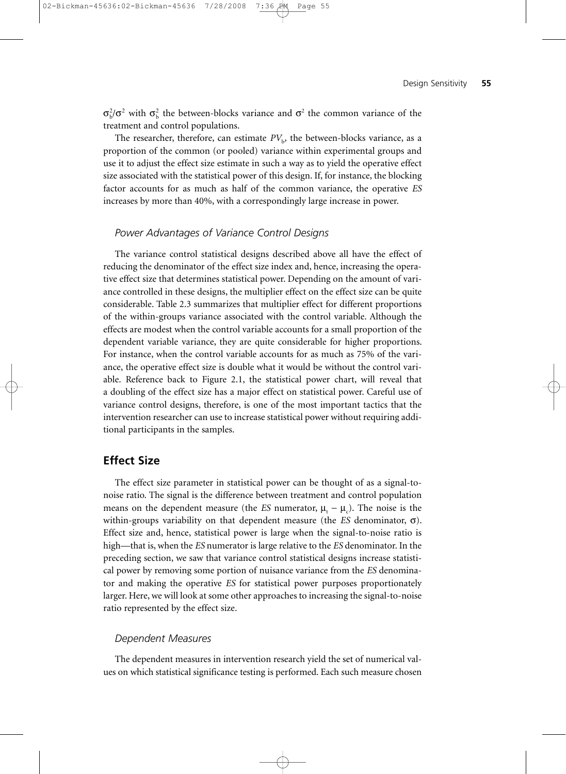$\sigma_b^2/\sigma^2$  with  $\sigma_b^2$  the between-blocks variance and  $\sigma^2$  the common variance of the treatment and control populations.

The researcher, therefore, can estimate  $PV<sub>b</sub>$ , the between-blocks variance, as a proportion of the common (or pooled) variance within experimental groups and use it to adjust the effect size estimate in such a way as to yield the operative effect size associated with the statistical power of this design. If, for instance, the blocking factor accounts for as much as half of the common variance, the operative *ES* increases by more than 40%, with a correspondingly large increase in power.

## *Power Advantages of Variance Control Designs*

The variance control statistical designs described above all have the effect of reducing the denominator of the effect size index and, hence, increasing the operative effect size that determines statistical power. Depending on the amount of variance controlled in these designs, the multiplier effect on the effect size can be quite considerable. Table 2.3 summarizes that multiplier effect for different proportions of the within-groups variance associated with the control variable. Although the effects are modest when the control variable accounts for a small proportion of the dependent variable variance, they are quite considerable for higher proportions. For instance, when the control variable accounts for as much as 75% of the variance, the operative effect size is double what it would be without the control variable. Reference back to Figure 2.1, the statistical power chart, will reveal that a doubling of the effect size has a major effect on statistical power. Careful use of variance control designs, therefore, is one of the most important tactics that the intervention researcher can use to increase statistical power without requiring additional participants in the samples.

# **Effect Size**

The effect size parameter in statistical power can be thought of as a signal-tonoise ratio. The signal is the difference between treatment and control population means on the dependent measure (the *ES* numerator,  $\mu_t - \mu_c$ ). The noise is the within-groups variability on that dependent measure (the *ES* denominator, σ). Effect size and, hence, statistical power is large when the signal-to-noise ratio is high—that is, when the *ES* numerator is large relative to the *ES* denominator. In the preceding section, we saw that variance control statistical designs increase statistical power by removing some portion of nuisance variance from the *ES* denominator and making the operative *ES* for statistical power purposes proportionately larger. Here, we will look at some other approaches to increasing the signal-to-noise ratio represented by the effect size.

#### *Dependent Measures*

The dependent measures in intervention research yield the set of numerical values on which statistical significance testing is performed. Each such measure chosen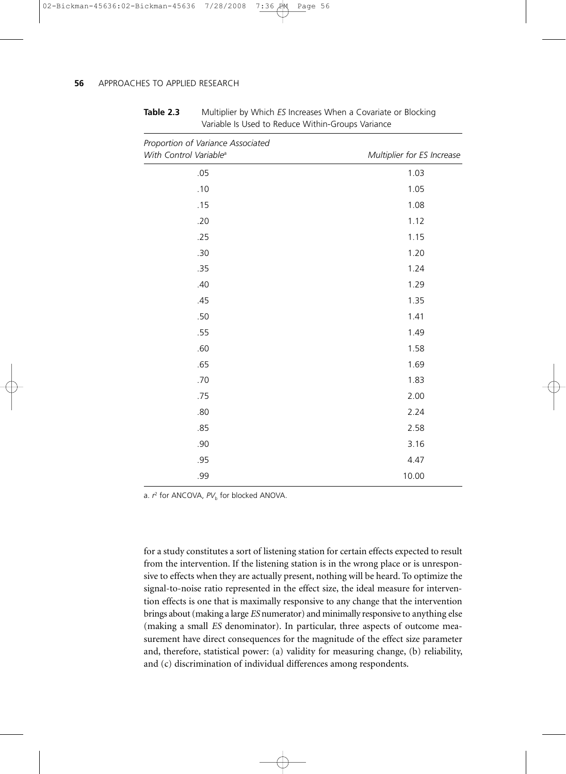| Proportion of Variance Associated<br>With Control Variable <sup>a</sup> | Multiplier for ES Increase |  |  |
|-------------------------------------------------------------------------|----------------------------|--|--|
| .05                                                                     | 1.03                       |  |  |
| .10                                                                     | 1.05                       |  |  |
| .15                                                                     | 1.08                       |  |  |
| .20                                                                     | 1.12                       |  |  |
| .25                                                                     | 1.15                       |  |  |
| .30                                                                     | 1.20                       |  |  |
| .35                                                                     | 1.24                       |  |  |
| .40                                                                     | 1.29                       |  |  |
| .45                                                                     | 1.35                       |  |  |
| .50                                                                     | 1.41                       |  |  |
| .55                                                                     | 1.49                       |  |  |
| .60                                                                     | 1.58                       |  |  |
| .65                                                                     | 1.69                       |  |  |
| .70                                                                     | 1.83                       |  |  |
| .75                                                                     | 2.00                       |  |  |
| .80                                                                     | 2.24                       |  |  |
| .85                                                                     | 2.58                       |  |  |
| .90                                                                     | 3.16                       |  |  |
| .95                                                                     | 4.47                       |  |  |
| .99                                                                     | 10.00                      |  |  |
|                                                                         |                            |  |  |

**Table 2.3** Multiplier by Which *ES* Increases When a Covariate or Blocking Variable Is Used to Reduce Within-Groups Variance

a.  $r^2$  for ANCOVA,  $PV_{\rm b}$  for blocked ANOVA.

for a study constitutes a sort of listening station for certain effects expected to result from the intervention. If the listening station is in the wrong place or is unresponsive to effects when they are actually present, nothing will be heard. To optimize the signal-to-noise ratio represented in the effect size, the ideal measure for intervention effects is one that is maximally responsive to any change that the intervention brings about(making a large *ES* numerator) and minimally responsive to anything else (making a small *ES* denominator). In particular, three aspects of outcome measurement have direct consequences for the magnitude of the effect size parameter and, therefore, statistical power: (a) validity for measuring change, (b) reliability, and (c) discrimination of individual differences among respondents.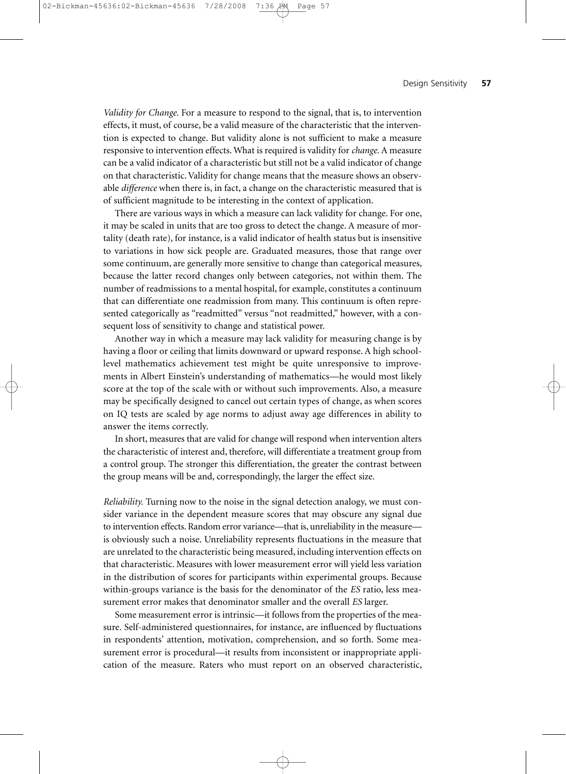*Validity for Change.* For a measure to respond to the signal, that is, to intervention effects, it must, of course, be a valid measure of the characteristic that the intervention is expected to change. But validity alone is not sufficient to make a measure responsive to intervention effects.What is required is validity for *change.* A measure can be a valid indicator of a characteristic but still not be a valid indicator of change on that characteristic.Validity for change means that the measure shows an observable *difference* when there is, in fact, a change on the characteristic measured that is of sufficient magnitude to be interesting in the context of application.

There are various ways in which a measure can lack validity for change. For one, it may be scaled in units that are too gross to detect the change. A measure of mortality (death rate), for instance, is a valid indicator of health status but is insensitive to variations in how sick people are. Graduated measures, those that range over some continuum, are generally more sensitive to change than categorical measures, because the latter record changes only between categories, not within them. The number of readmissions to a mental hospital, for example, constitutes a continuum that can differentiate one readmission from many. This continuum is often represented categorically as "readmitted" versus "not readmitted," however, with a consequent loss of sensitivity to change and statistical power.

Another way in which a measure may lack validity for measuring change is by having a floor or ceiling that limits downward or upward response. A high schoollevel mathematics achievement test might be quite unresponsive to improvements in Albert Einstein's understanding of mathematics—he would most likely score at the top of the scale with or without such improvements. Also, a measure may be specifically designed to cancel out certain types of change, as when scores on IQ tests are scaled by age norms to adjust away age differences in ability to answer the items correctly.

In short, measures that are valid for change will respond when intervention alters the characteristic of interest and, therefore, will differentiate a treatment group from a control group. The stronger this differentiation, the greater the contrast between the group means will be and, correspondingly, the larger the effect size.

*Reliability.* Turning now to the noise in the signal detection analogy, we must consider variance in the dependent measure scores that may obscure any signal due to intervention effects.Random error variance—that is, unreliability in the measure is obviously such a noise. Unreliability represents fluctuations in the measure that are unrelated to the characteristic being measured, including intervention effects on that characteristic. Measures with lower measurement error will yield less variation in the distribution of scores for participants within experimental groups. Because within-groups variance is the basis for the denominator of the *ES* ratio, less measurement error makes that denominator smaller and the overall *ES* larger.

Some measurement error is intrinsic—it follows from the properties of the measure. Self-administered questionnaires, for instance, are influenced by fluctuations in respondents' attention, motivation, comprehension, and so forth. Some measurement error is procedural—it results from inconsistent or inappropriate application of the measure. Raters who must report on an observed characteristic,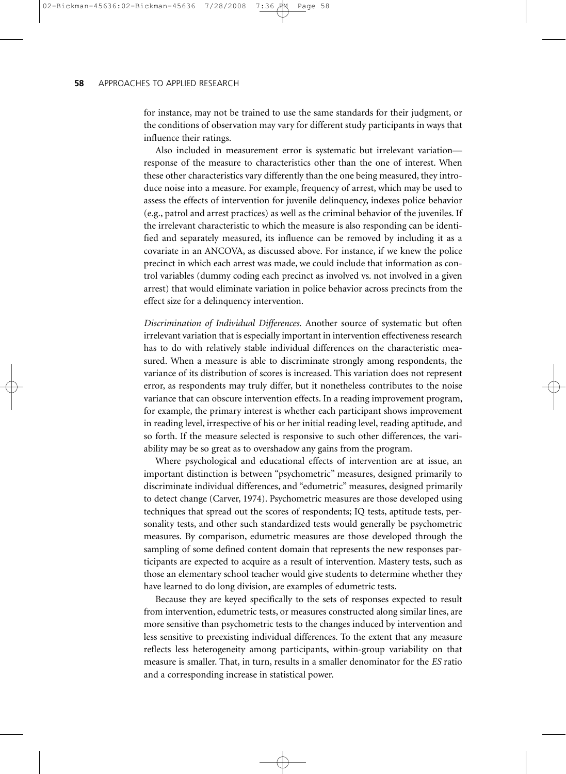for instance, may not be trained to use the same standards for their judgment, or the conditions of observation may vary for different study participants in ways that influence their ratings.

Also included in measurement error is systematic but irrelevant variation response of the measure to characteristics other than the one of interest. When these other characteristics vary differently than the one being measured, they introduce noise into a measure. For example, frequency of arrest, which may be used to assess the effects of intervention for juvenile delinquency, indexes police behavior (e.g., patrol and arrest practices) as well as the criminal behavior of the juveniles. If the irrelevant characteristic to which the measure is also responding can be identified and separately measured, its influence can be removed by including it as a covariate in an ANCOVA, as discussed above. For instance, if we knew the police precinct in which each arrest was made, we could include that information as control variables (dummy coding each precinct as involved vs. not involved in a given arrest) that would eliminate variation in police behavior across precincts from the effect size for a delinquency intervention.

*Discrimination of Individual Differences.* Another source of systematic but often irrelevant variation that is especially important in intervention effectiveness research has to do with relatively stable individual differences on the characteristic measured. When a measure is able to discriminate strongly among respondents, the variance of its distribution of scores is increased. This variation does not represent error, as respondents may truly differ, but it nonetheless contributes to the noise variance that can obscure intervention effects. In a reading improvement program, for example, the primary interest is whether each participant shows improvement in reading level, irrespective of his or her initial reading level, reading aptitude, and so forth. If the measure selected is responsive to such other differences, the variability may be so great as to overshadow any gains from the program.

Where psychological and educational effects of intervention are at issue, an important distinction is between "psychometric" measures, designed primarily to discriminate individual differences, and "edumetric" measures, designed primarily to detect change (Carver, 1974). Psychometric measures are those developed using techniques that spread out the scores of respondents; IQ tests, aptitude tests, personality tests, and other such standardized tests would generally be psychometric measures. By comparison, edumetric measures are those developed through the sampling of some defined content domain that represents the new responses participants are expected to acquire as a result of intervention. Mastery tests, such as those an elementary school teacher would give students to determine whether they have learned to do long division, are examples of edumetric tests.

Because they are keyed specifically to the sets of responses expected to result from intervention, edumetric tests, or measures constructed along similar lines, are more sensitive than psychometric tests to the changes induced by intervention and less sensitive to preexisting individual differences. To the extent that any measure reflects less heterogeneity among participants, within-group variability on that measure is smaller. That, in turn, results in a smaller denominator for the *ES* ratio and a corresponding increase in statistical power.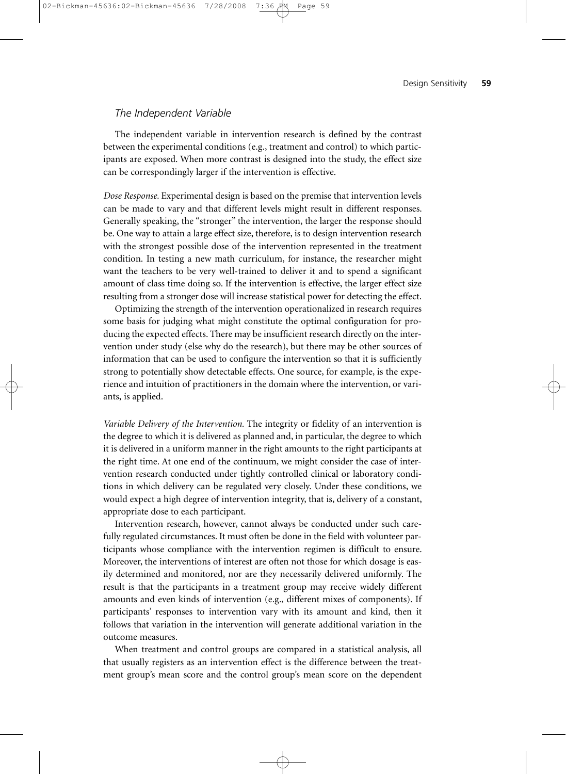### *The Independent Variable*

The independent variable in intervention research is defined by the contrast between the experimental conditions (e.g., treatment and control) to which participants are exposed. When more contrast is designed into the study, the effect size can be correspondingly larger if the intervention is effective.

*Dose Response.* Experimental design is based on the premise that intervention levels can be made to vary and that different levels might result in different responses. Generally speaking, the "stronger" the intervention, the larger the response should be. One way to attain a large effect size, therefore, is to design intervention research with the strongest possible dose of the intervention represented in the treatment condition. In testing a new math curriculum, for instance, the researcher might want the teachers to be very well-trained to deliver it and to spend a significant amount of class time doing so. If the intervention is effective, the larger effect size resulting from a stronger dose will increase statistical power for detecting the effect.

Optimizing the strength of the intervention operationalized in research requires some basis for judging what might constitute the optimal configuration for producing the expected effects. There may be insufficient research directly on the intervention under study (else why do the research), but there may be other sources of information that can be used to configure the intervention so that it is sufficiently strong to potentially show detectable effects. One source, for example, is the experience and intuition of practitioners in the domain where the intervention, or variants, is applied.

*Variable Delivery of the Intervention.* The integrity or fidelity of an intervention is the degree to which it is delivered as planned and, in particular, the degree to which it is delivered in a uniform manner in the right amounts to the right participants at the right time. At one end of the continuum, we might consider the case of intervention research conducted under tightly controlled clinical or laboratory conditions in which delivery can be regulated very closely. Under these conditions, we would expect a high degree of intervention integrity, that is, delivery of a constant, appropriate dose to each participant.

Intervention research, however, cannot always be conducted under such carefully regulated circumstances. It must often be done in the field with volunteer participants whose compliance with the intervention regimen is difficult to ensure. Moreover, the interventions of interest are often not those for which dosage is easily determined and monitored, nor are they necessarily delivered uniformly. The result is that the participants in a treatment group may receive widely different amounts and even kinds of intervention (e.g., different mixes of components). If participants' responses to intervention vary with its amount and kind, then it follows that variation in the intervention will generate additional variation in the outcome measures.

When treatment and control groups are compared in a statistical analysis, all that usually registers as an intervention effect is the difference between the treatment group's mean score and the control group's mean score on the dependent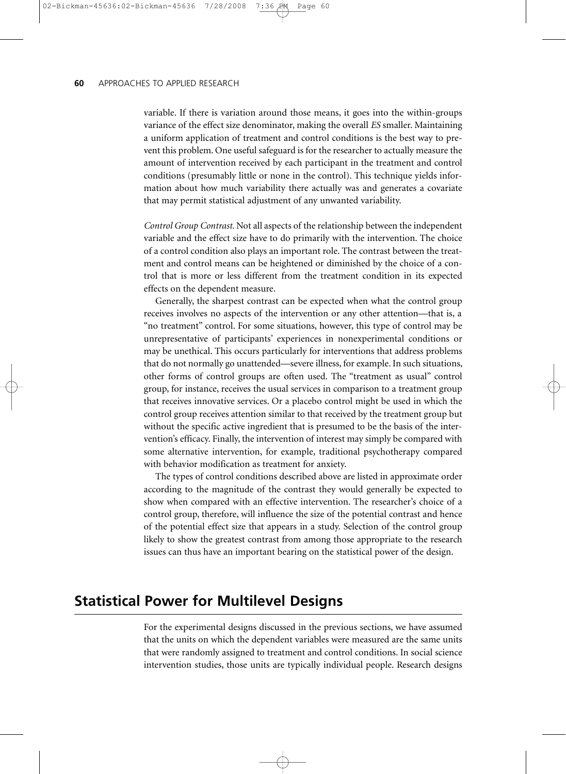variable. If there is variation around those means, it goes into the within-groups variance of the effect size denominator, making the overall *ES* smaller. Maintaining a uniform application of treatment and control conditions is the best way to prevent this problem. One useful safeguard is for the researcher to actually measure the amount of intervention received by each participant in the treatment and control conditions (presumably little or none in the control). This technique yields information about how much variability there actually was and generates a covariate that may permit statistical adjustment of any unwanted variability.

*Control Group Contrast.* Not all aspects of the relationship between the independent variable and the effect size have to do primarily with the intervention. The choice of a control condition also plays an important role. The contrast between the treatment and control means can be heightened or diminished by the choice of a control that is more or less different from the treatment condition in its expected effects on the dependent measure.

Generally, the sharpest contrast can be expected when what the control group receives involves no aspects of the intervention or any other attention—that is, a "no treatment" control. For some situations, however, this type of control may be unrepresentative of participants' experiences in nonexperimental conditions or may be unethical. This occurs particularly for interventions that address problems that do not normally go unattended—severe illness, for example. In such situations, other forms of control groups are often used. The "treatment as usual" control group, for instance, receives the usual services in comparison to a treatment group that receives innovative services. Or a placebo control might be used in which the control group receives attention similar to that received by the treatment group but without the specific active ingredient that is presumed to be the basis of the intervention's efficacy. Finally, the intervention of interest may simply be compared with some alternative intervention, for example, traditional psychotherapy compared with behavior modification as treatment for anxiety.

The types of control conditions described above are listed in approximate order according to the magnitude of the contrast they would generally be expected to show when compared with an effective intervention. The researcher's choice of a control group, therefore, will influence the size of the potential contrast and hence of the potential effect size that appears in a study. Selection of the control group likely to show the greatest contrast from among those appropriate to the research issues can thus have an important bearing on the statistical power of the design.

# **Statistical Power for Multilevel Designs**

For the experimental designs discussed in the previous sections, we have assumed that the units on which the dependent variables were measured are the same units that were randomly assigned to treatment and control conditions. In social science intervention studies, those units are typically individual people. Research designs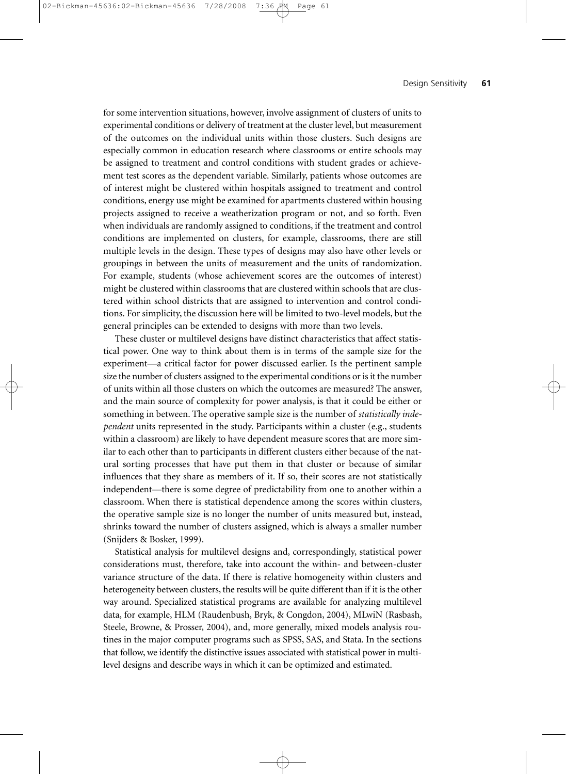for some intervention situations, however, involve assignment of clusters of units to experimental conditions or delivery of treatment at the cluster level, but measurement of the outcomes on the individual units within those clusters. Such designs are especially common in education research where classrooms or entire schools may be assigned to treatment and control conditions with student grades or achievement test scores as the dependent variable. Similarly, patients whose outcomes are of interest might be clustered within hospitals assigned to treatment and control conditions, energy use might be examined for apartments clustered within housing projects assigned to receive a weatherization program or not, and so forth. Even when individuals are randomly assigned to conditions, if the treatment and control conditions are implemented on clusters, for example, classrooms, there are still multiple levels in the design. These types of designs may also have other levels or groupings in between the units of measurement and the units of randomization. For example, students (whose achievement scores are the outcomes of interest) might be clustered within classrooms that are clustered within schools that are clustered within school districts that are assigned to intervention and control conditions. For simplicity, the discussion here will be limited to two-level models, but the general principles can be extended to designs with more than two levels.

These cluster or multilevel designs have distinct characteristics that affect statistical power. One way to think about them is in terms of the sample size for the experiment—a critical factor for power discussed earlier. Is the pertinent sample size the number of clusters assigned to the experimental conditions or is it the number of units within all those clusters on which the outcomes are measured? The answer, and the main source of complexity for power analysis, is that it could be either or something in between. The operative sample size is the number of *statistically independent* units represented in the study. Participants within a cluster (e.g., students within a classroom) are likely to have dependent measure scores that are more similar to each other than to participants in different clusters either because of the natural sorting processes that have put them in that cluster or because of similar influences that they share as members of it. If so, their scores are not statistically independent—there is some degree of predictability from one to another within a classroom. When there is statistical dependence among the scores within clusters, the operative sample size is no longer the number of units measured but, instead, shrinks toward the number of clusters assigned, which is always a smaller number (Snijders & Bosker, 1999).

Statistical analysis for multilevel designs and, correspondingly, statistical power considerations must, therefore, take into account the within- and between-cluster variance structure of the data. If there is relative homogeneity within clusters and heterogeneity between clusters, the results will be quite different than if it is the other way around. Specialized statistical programs are available for analyzing multilevel data, for example, HLM (Raudenbush, Bryk, & Congdon, 2004), MLwiN (Rasbash, Steele, Browne, & Prosser, 2004), and, more generally, mixed models analysis routines in the major computer programs such as SPSS, SAS, and Stata. In the sections that follow, we identify the distinctive issues associated with statistical power in multilevel designs and describe ways in which it can be optimized and estimated.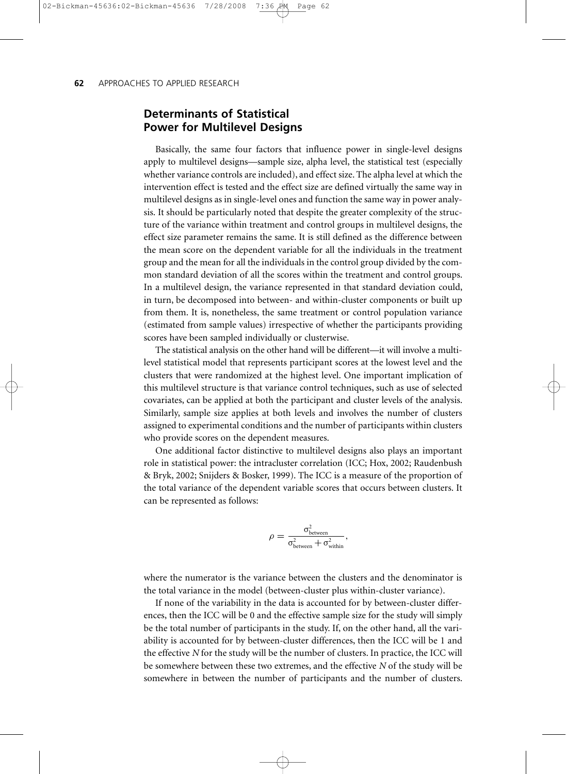# **Determinants of Statistical Power for Multilevel Designs**

Basically, the same four factors that influence power in single-level designs apply to multilevel designs—sample size, alpha level, the statistical test (especially whether variance controls are included), and effect size. The alpha level at which the intervention effect is tested and the effect size are defined virtually the same way in multilevel designs as in single-level ones and function the same way in power analysis. It should be particularly noted that despite the greater complexity of the structure of the variance within treatment and control groups in multilevel designs, the effect size parameter remains the same. It is still defined as the difference between the mean score on the dependent variable for all the individuals in the treatment group and the mean for all the individuals in the control group divided by the common standard deviation of all the scores within the treatment and control groups. In a multilevel design, the variance represented in that standard deviation could, in turn, be decomposed into between- and within-cluster components or built up from them. It is, nonetheless, the same treatment or control population variance (estimated from sample values) irrespective of whether the participants providing scores have been sampled individually or clusterwise.

The statistical analysis on the other hand will be different—it will involve a multilevel statistical model that represents participant scores at the lowest level and the clusters that were randomized at the highest level. One important implication of this multilevel structure is that variance control techniques, such as use of selected covariates, can be applied at both the participant and cluster levels of the analysis. Similarly, sample size applies at both levels and involves the number of clusters assigned to experimental conditions and the number of participants within clusters who provide scores on the dependent measures.

One additional factor distinctive to multilevel designs also plays an important role in statistical power: the intracluster correlation (ICC; Hox, 2002; Raudenbush & Bryk, 2002; Snijders & Bosker, 1999). The ICC is a measure of the proportion of the total variance of the dependent variable scores that occurs between clusters. It can be represented as follows:

$$
\rho = \frac{\sigma_{between}^2}{\sigma_{between}^2 + \sigma_{within}^2},
$$

where the numerator is the variance between the clusters and the denominator is the total variance in the model (between-cluster plus within-cluster variance).

If none of the variability in the data is accounted for by between-cluster differences, then the ICC will be 0 and the effective sample size for the study will simply be the total number of participants in the study. If, on the other hand, all the variability is accounted for by between-cluster differences, then the ICC will be 1 and the effective *N* for the study will be the number of clusters. In practice, the ICC will be somewhere between these two extremes, and the effective *N* of the study will be somewhere in between the number of participants and the number of clusters.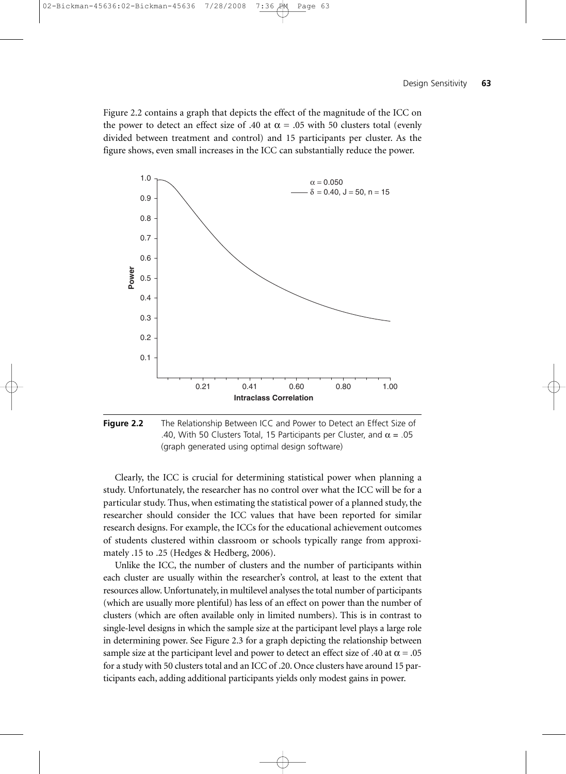Figure 2.2 contains a graph that depicts the effect of the magnitude of the ICC on the power to detect an effect size of .40 at  $\alpha$  = .05 with 50 clusters total (evenly divided between treatment and control) and 15 participants per cluster. As the figure shows, even small increases in the ICC can substantially reduce the power.





Clearly, the ICC is crucial for determining statistical power when planning a study. Unfortunately, the researcher has no control over what the ICC will be for a particular study. Thus, when estimating the statistical power of a planned study, the researcher should consider the ICC values that have been reported for similar research designs. For example, the ICCs for the educational achievement outcomes of students clustered within classroom or schools typically range from approximately .15 to .25 (Hedges & Hedberg, 2006).

Unlike the ICC, the number of clusters and the number of participants within each cluster are usually within the researcher's control, at least to the extent that resources allow. Unfortunately, in multilevel analyses the total number of participants (which are usually more plentiful) has less of an effect on power than the number of clusters (which are often available only in limited numbers). This is in contrast to single-level designs in which the sample size at the participant level plays a large role in determining power. See Figure 2.3 for a graph depicting the relationship between sample size at the participant level and power to detect an effect size of .40 at  $\alpha = .05$ for a study with 50 clusters total and an ICC of .20. Once clusters have around 15 participants each, adding additional participants yields only modest gains in power.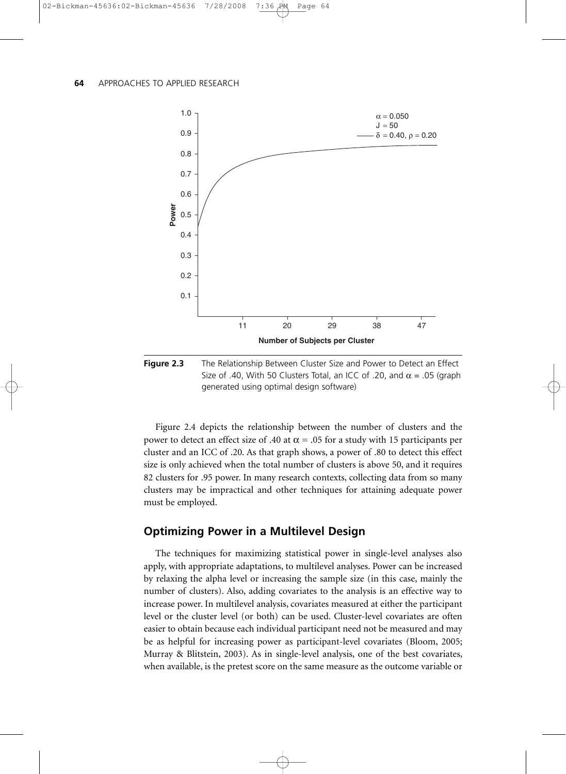



Figure 2.4 depicts the relationship between the number of clusters and the power to detect an effect size of .40 at  $\alpha$  = .05 for a study with 15 participants per cluster and an ICC of .20. As that graph shows, a power of .80 to detect this effect size is only achieved when the total number of clusters is above 50, and it requires 82 clusters for .95 power. In many research contexts, collecting data from so many clusters may be impractical and other techniques for attaining adequate power must be employed.

# **Optimizing Power in a Multilevel Design**

The techniques for maximizing statistical power in single-level analyses also apply, with appropriate adaptations, to multilevel analyses. Power can be increased by relaxing the alpha level or increasing the sample size (in this case, mainly the number of clusters). Also, adding covariates to the analysis is an effective way to increase power. In multilevel analysis, covariates measured at either the participant level or the cluster level (or both) can be used. Cluster-level covariates are often easier to obtain because each individual participant need not be measured and may be as helpful for increasing power as participant-level covariates (Bloom, 2005; Murray & Blitstein, 2003). As in single-level analysis, one of the best covariates, when available, is the pretest score on the same measure as the outcome variable or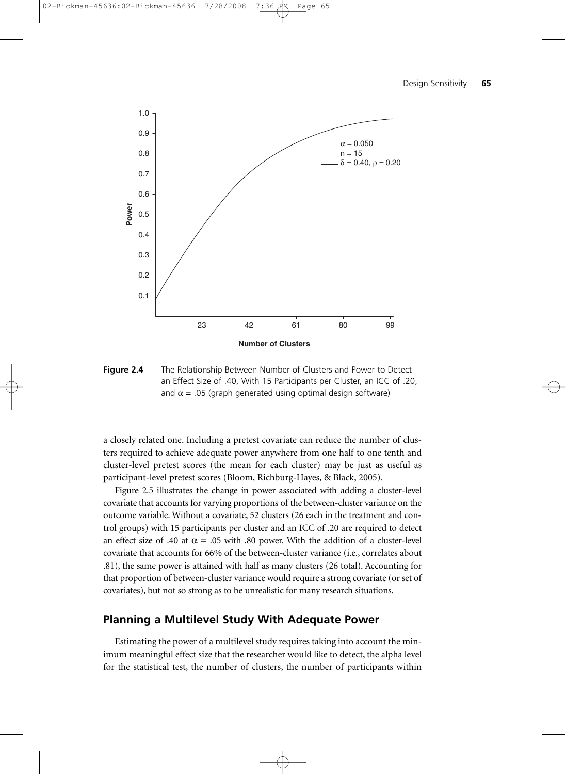





a closely related one. Including a pretest covariate can reduce the number of clusters required to achieve adequate power anywhere from one half to one tenth and cluster-level pretest scores (the mean for each cluster) may be just as useful as participant-level pretest scores (Bloom, Richburg-Hayes, & Black, 2005).

Figure 2.5 illustrates the change in power associated with adding a cluster-level covariate that accounts for varying proportions of the between-cluster variance on the outcome variable. Without a covariate, 52 clusters (26 each in the treatment and control groups) with 15 participants per cluster and an ICC of .20 are required to detect an effect size of .40 at  $\alpha = .05$  with .80 power. With the addition of a cluster-level covariate that accounts for 66% of the between-cluster variance (i.e., correlates about .81), the same power is attained with half as many clusters (26 total). Accounting for that proportion of between-cluster variance would require a strong covariate (or set of covariates), but not so strong as to be unrealistic for many research situations.

# **Planning a Multilevel Study With Adequate Power**

Estimating the power of a multilevel study requires taking into account the minimum meaningful effect size that the researcher would like to detect, the alpha level for the statistical test, the number of clusters, the number of participants within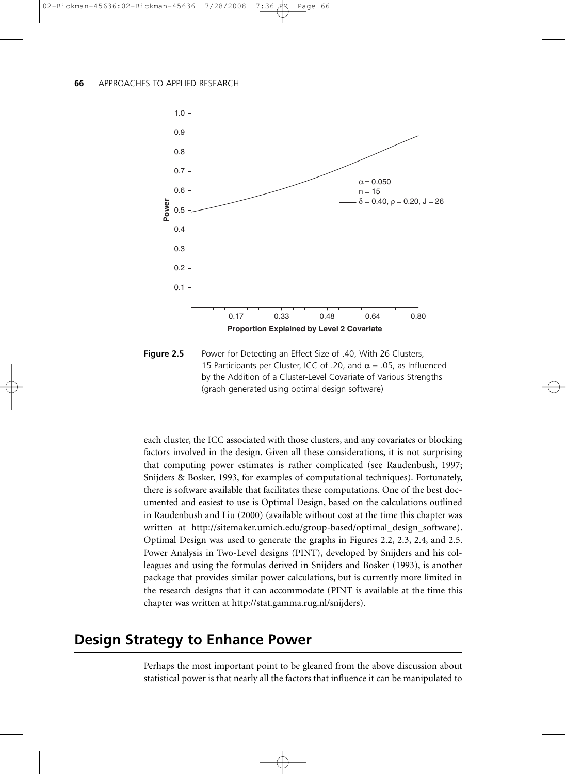



each cluster, the ICC associated with those clusters, and any covariates or blocking factors involved in the design. Given all these considerations, it is not surprising that computing power estimates is rather complicated (see Raudenbush, 1997; Snijders & Bosker, 1993, for examples of computational techniques). Fortunately, there is software available that facilitates these computations. One of the best documented and easiest to use is Optimal Design, based on the calculations outlined in Raudenbush and Liu (2000) (available without cost at the time this chapter was written at http://sitemaker.umich.edu/group-based/optimal\_design\_software). Optimal Design was used to generate the graphs in Figures 2.2, 2.3, 2.4, and 2.5. Power Analysis in Two-Level designs (PINT), developed by Snijders and his colleagues and using the formulas derived in Snijders and Bosker (1993), is another package that provides similar power calculations, but is currently more limited in the research designs that it can accommodate (PINT is available at the time this chapter was written at http://stat.gamma.rug.nl/snijders).

# **Design Strategy to Enhance Power**

Perhaps the most important point to be gleaned from the above discussion about statistical power is that nearly all the factors that influence it can be manipulated to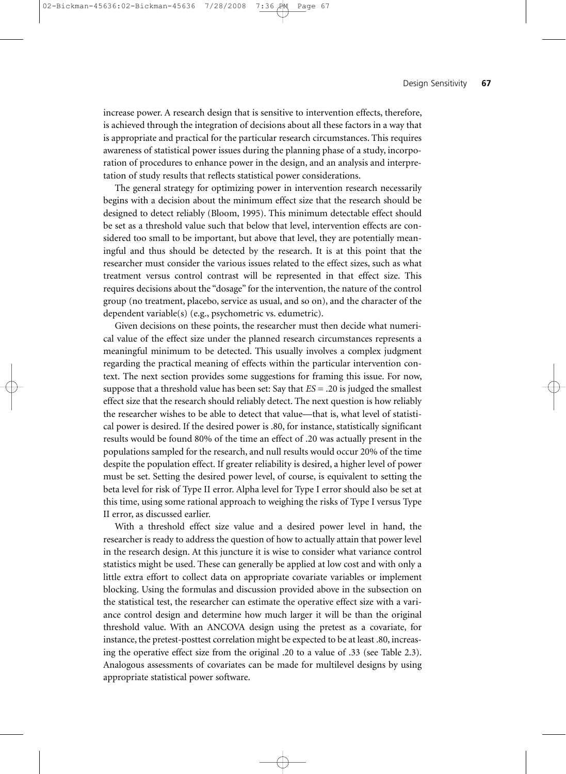increase power. A research design that is sensitive to intervention effects, therefore, is achieved through the integration of decisions about all these factors in a way that is appropriate and practical for the particular research circumstances. This requires awareness of statistical power issues during the planning phase of a study, incorporation of procedures to enhance power in the design, and an analysis and interpretation of study results that reflects statistical power considerations.

The general strategy for optimizing power in intervention research necessarily begins with a decision about the minimum effect size that the research should be designed to detect reliably (Bloom, 1995). This minimum detectable effect should be set as a threshold value such that below that level, intervention effects are considered too small to be important, but above that level, they are potentially meaningful and thus should be detected by the research. It is at this point that the researcher must consider the various issues related to the effect sizes, such as what treatment versus control contrast will be represented in that effect size. This requires decisions about the "dosage" for the intervention, the nature of the control group (no treatment, placebo, service as usual, and so on), and the character of the dependent variable(s) (e.g., psychometric vs. edumetric).

Given decisions on these points, the researcher must then decide what numerical value of the effect size under the planned research circumstances represents a meaningful minimum to be detected. This usually involves a complex judgment regarding the practical meaning of effects within the particular intervention context. The next section provides some suggestions for framing this issue. For now, suppose that a threshold value has been set: Say that *ES* = .20 is judged the smallest effect size that the research should reliably detect. The next question is how reliably the researcher wishes to be able to detect that value—that is, what level of statistical power is desired. If the desired power is .80, for instance, statistically significant results would be found 80% of the time an effect of .20 was actually present in the populations sampled for the research, and null results would occur 20% of the time despite the population effect. If greater reliability is desired, a higher level of power must be set. Setting the desired power level, of course, is equivalent to setting the beta level for risk of Type II error. Alpha level for Type I error should also be set at this time, using some rational approach to weighing the risks of Type I versus Type II error, as discussed earlier.

With a threshold effect size value and a desired power level in hand, the researcher is ready to address the question of how to actually attain that power level in the research design. At this juncture it is wise to consider what variance control statistics might be used. These can generally be applied at low cost and with only a little extra effort to collect data on appropriate covariate variables or implement blocking. Using the formulas and discussion provided above in the subsection on the statistical test, the researcher can estimate the operative effect size with a variance control design and determine how much larger it will be than the original threshold value. With an ANCOVA design using the pretest as a covariate, for instance, the pretest-posttest correlation might be expected to be at least .80, increasing the operative effect size from the original .20 to a value of .33 (see Table 2.3). Analogous assessments of covariates can be made for multilevel designs by using appropriate statistical power software.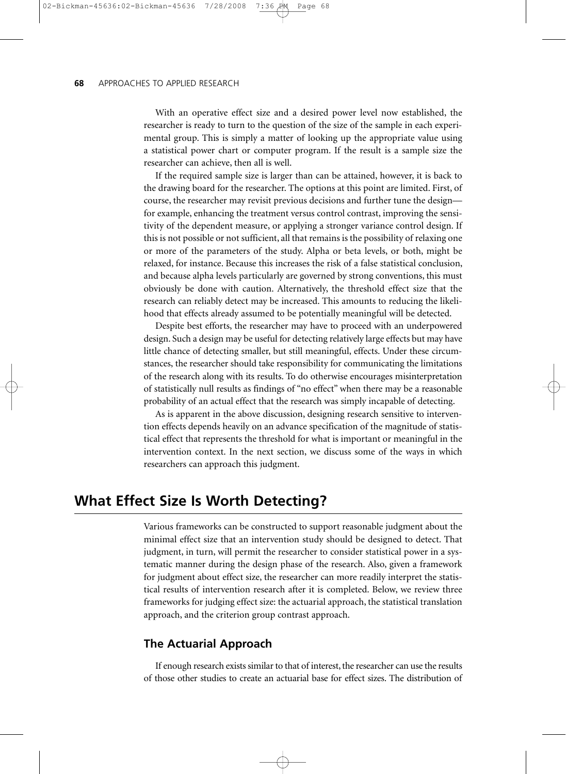With an operative effect size and a desired power level now established, the researcher is ready to turn to the question of the size of the sample in each experimental group. This is simply a matter of looking up the appropriate value using a statistical power chart or computer program. If the result is a sample size the researcher can achieve, then all is well.

If the required sample size is larger than can be attained, however, it is back to the drawing board for the researcher. The options at this point are limited. First, of course, the researcher may revisit previous decisions and further tune the design for example, enhancing the treatment versus control contrast, improving the sensitivity of the dependent measure, or applying a stronger variance control design. If this is not possible or not sufficient, all that remains is the possibility of relaxing one or more of the parameters of the study. Alpha or beta levels, or both, might be relaxed, for instance. Because this increases the risk of a false statistical conclusion, and because alpha levels particularly are governed by strong conventions, this must obviously be done with caution. Alternatively, the threshold effect size that the research can reliably detect may be increased. This amounts to reducing the likelihood that effects already assumed to be potentially meaningful will be detected.

Despite best efforts, the researcher may have to proceed with an underpowered design. Such a design may be useful for detecting relatively large effects but may have little chance of detecting smaller, but still meaningful, effects. Under these circumstances, the researcher should take responsibility for communicating the limitations of the research along with its results. To do otherwise encourages misinterpretation of statistically null results as findings of "no effect" when there may be a reasonable probability of an actual effect that the research was simply incapable of detecting.

As is apparent in the above discussion, designing research sensitive to intervention effects depends heavily on an advance specification of the magnitude of statistical effect that represents the threshold for what is important or meaningful in the intervention context. In the next section, we discuss some of the ways in which researchers can approach this judgment.

# **What Effect Size Is Worth Detecting?**

Various frameworks can be constructed to support reasonable judgment about the minimal effect size that an intervention study should be designed to detect. That judgment, in turn, will permit the researcher to consider statistical power in a systematic manner during the design phase of the research. Also, given a framework for judgment about effect size, the researcher can more readily interpret the statistical results of intervention research after it is completed. Below, we review three frameworks for judging effect size: the actuarial approach, the statistical translation approach, and the criterion group contrast approach.

# **The Actuarial Approach**

If enough research exists similar to that of interest, the researcher can use the results of those other studies to create an actuarial base for effect sizes. The distribution of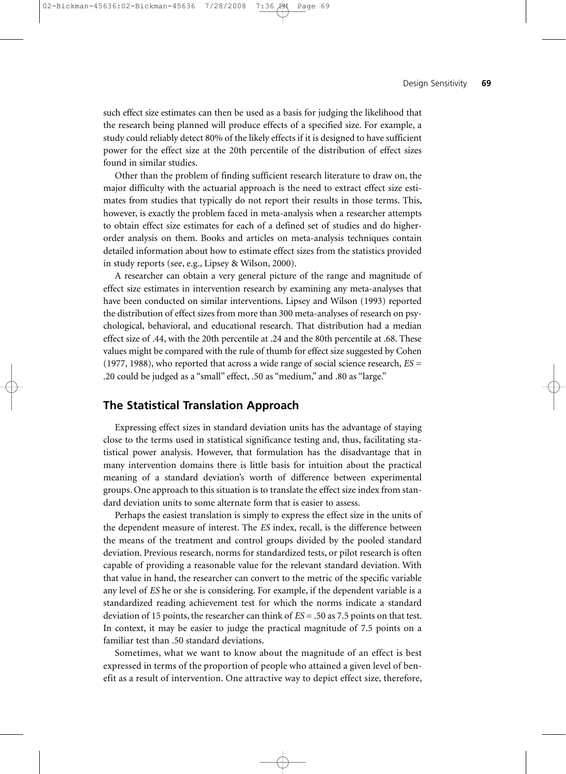such effect size estimates can then be used as a basis for judging the likelihood that the research being planned will produce effects of a specified size. For example, a study could reliably detect 80% of the likely effects if it is designed to have sufficient power for the effect size at the 20th percentile of the distribution of effect sizes found in similar studies.

Other than the problem of finding sufficient research literature to draw on, the major difficulty with the actuarial approach is the need to extract effect size estimates from studies that typically do not report their results in those terms. This, however, is exactly the problem faced in meta-analysis when a researcher attempts to obtain effect size estimates for each of a defined set of studies and do higherorder analysis on them. Books and articles on meta-analysis techniques contain detailed information about how to estimate effect sizes from the statistics provided in study reports (see, e.g., Lipsey & Wilson, 2000).

A researcher can obtain a very general picture of the range and magnitude of effect size estimates in intervention research by examining any meta-analyses that have been conducted on similar interventions. Lipsey and Wilson (1993) reported the distribution of effect sizes from more than 300 meta-analyses of research on psychological, behavioral, and educational research. That distribution had a median effect size of .44, with the 20th percentile at .24 and the 80th percentile at .68. These values might be compared with the rule of thumb for effect size suggested by Cohen (1977, 1988), who reported that across a wide range of social science research, *ES* = .20 could be judged as a "small" effect, .50 as "medium," and .80 as "large."

# **The Statistical Translation Approach**

Expressing effect sizes in standard deviation units has the advantage of staying close to the terms used in statistical significance testing and, thus, facilitating statistical power analysis. However, that formulation has the disadvantage that in many intervention domains there is little basis for intuition about the practical meaning of a standard deviation's worth of difference between experimental groups. One approach to this situation is to translate the effect size index from standard deviation units to some alternate form that is easier to assess.

Perhaps the easiest translation is simply to express the effect size in the units of the dependent measure of interest. The *ES* index, recall, is the difference between the means of the treatment and control groups divided by the pooled standard deviation. Previous research, norms for standardized tests, or pilot research is often capable of providing a reasonable value for the relevant standard deviation. With that value in hand, the researcher can convert to the metric of the specific variable any level of *ES* he or she is considering. For example, if the dependent variable is a standardized reading achievement test for which the norms indicate a standard deviation of 15 points, the researcher can think of *ES* = .50 as 7.5 points on that test. In context, it may be easier to judge the practical magnitude of 7.5 points on a familiar test than .50 standard deviations.

Sometimes, what we want to know about the magnitude of an effect is best expressed in terms of the proportion of people who attained a given level of benefit as a result of intervention. One attractive way to depict effect size, therefore,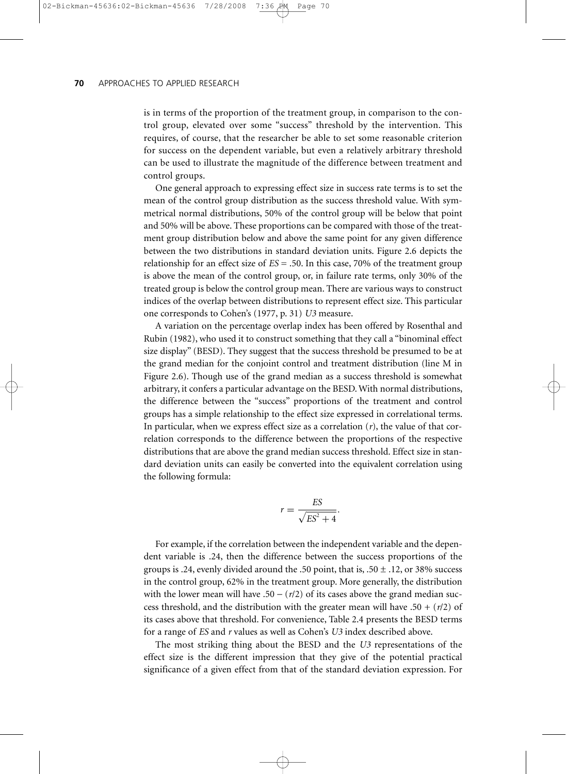is in terms of the proportion of the treatment group, in comparison to the control group, elevated over some "success" threshold by the intervention. This requires, of course, that the researcher be able to set some reasonable criterion for success on the dependent variable, but even a relatively arbitrary threshold can be used to illustrate the magnitude of the difference between treatment and control groups.

One general approach to expressing effect size in success rate terms is to set the mean of the control group distribution as the success threshold value. With symmetrical normal distributions, 50% of the control group will be below that point and 50% will be above. These proportions can be compared with those of the treatment group distribution below and above the same point for any given difference between the two distributions in standard deviation units. Figure 2.6 depicts the relationship for an effect size of *ES* = .50. In this case, 70% of the treatment group is above the mean of the control group, or, in failure rate terms, only 30% of the treated group is below the control group mean. There are various ways to construct indices of the overlap between distributions to represent effect size. This particular one corresponds to Cohen's (1977, p. 31) *U3* measure.

A variation on the percentage overlap index has been offered by Rosenthal and Rubin (1982), who used it to construct something that they call a "binominal effect size display" (BESD). They suggest that the success threshold be presumed to be at the grand median for the conjoint control and treatment distribution (line M in Figure 2.6). Though use of the grand median as a success threshold is somewhat arbitrary, it confers a particular advantage on the BESD. With normal distributions, the difference between the "success" proportions of the treatment and control groups has a simple relationship to the effect size expressed in correlational terms. In particular, when we express effect size as a correlation (*r*), the value of that correlation corresponds to the difference between the proportions of the respective distributions that are above the grand median success threshold. Effect size in standard deviation units can easily be converted into the equivalent correlation using the following formula:

$$
r = \frac{ES}{\sqrt{ES^2 + 4}}.
$$

For example, if the correlation between the independent variable and the dependent variable is .24, then the difference between the success proportions of the groups is .24, evenly divided around the .50 point, that is, .50  $\pm$  .12, or 38% success in the control group, 62% in the treatment group. More generally, the distribution with the lower mean will have .50  $-$  ( $r/2$ ) of its cases above the grand median success threshold, and the distribution with the greater mean will have .50 + (*r*/2) of its cases above that threshold. For convenience, Table 2.4 presents the BESD terms for a range of *ES* and *r* values as well as Cohen's *U3* index described above.

The most striking thing about the BESD and the *U3* representations of the effect size is the different impression that they give of the potential practical significance of a given effect from that of the standard deviation expression. For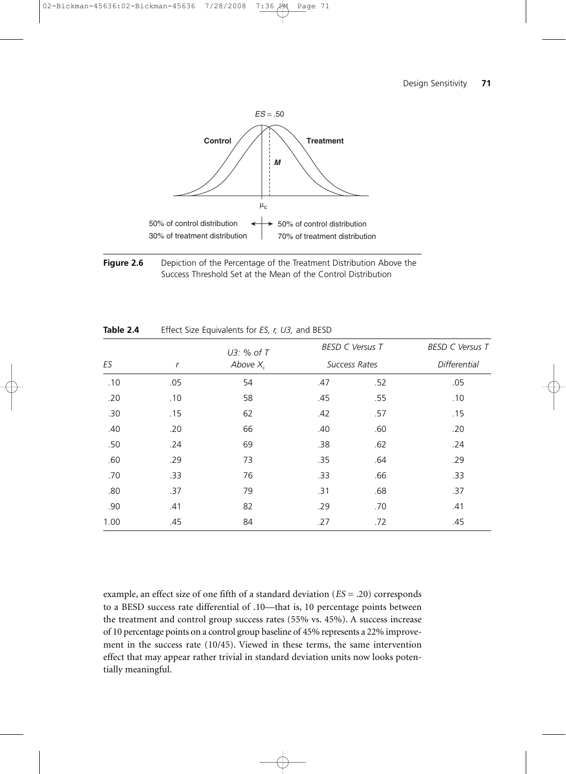



**Figure 2.6** Depiction of the Percentage of the Treatment Distribution Above the Success Threshold Set at the Mean of the Control Distribution

|      |     | U3: $%$ of T |               | <b>BESD C Versus T</b> | <b>BESD C Versus T</b> |
|------|-----|--------------|---------------|------------------------|------------------------|
| ES   | r   | Above $X_c$  | Success Rates |                        | Differential           |
| .10  | .05 | 54           | .47           | .52                    | .05                    |
| .20  | .10 | 58           | .45           | .55                    | .10                    |
| .30  | .15 | 62           | .42           | .57                    | .15                    |
| .40  | .20 | 66           | .40           | .60                    | .20                    |
| .50  | .24 | 69           | .38           | .62                    | .24                    |
| .60  | .29 | 73           | .35           | .64                    | .29                    |
| .70  | .33 | 76           | .33           | .66                    | .33                    |
| .80  | .37 | 79           | .31           | .68                    | .37                    |
| .90  | .41 | 82           | .29           | .70                    | .41                    |
| 1.00 | .45 | 84           | .27           | .72                    | .45                    |

**Table 2.4** Effect Size Equivalents for *ES, r, U3,* and BESD

example, an effect size of one fifth of a standard deviation (*ES* = .20) corresponds to a BESD success rate differential of .10—that is, 10 percentage points between the treatment and control group success rates (55% vs. 45%). A success increase of 10 percentage points on a control group baseline of 45% represents a 22% improvement in the success rate (10/45). Viewed in these terms, the same intervention effect that may appear rather trivial in standard deviation units now looks potentially meaningful.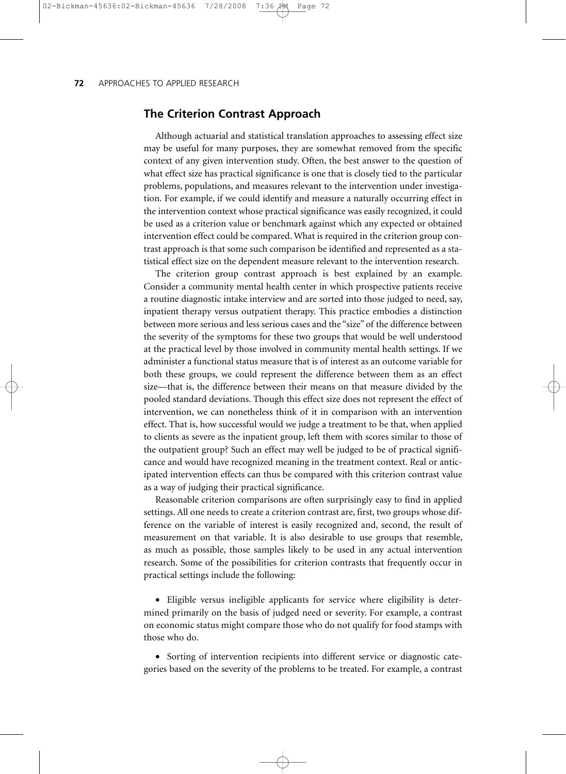# **The Criterion Contrast Approach**

Although actuarial and statistical translation approaches to assessing effect size may be useful for many purposes, they are somewhat removed from the specific context of any given intervention study. Often, the best answer to the question of what effect size has practical significance is one that is closely tied to the particular problems, populations, and measures relevant to the intervention under investigation. For example, if we could identify and measure a naturally occurring effect in the intervention context whose practical significance was easily recognized, it could be used as a criterion value or benchmark against which any expected or obtained intervention effect could be compared. What is required in the criterion group contrast approach is that some such comparison be identified and represented as a statistical effect size on the dependent measure relevant to the intervention research.

The criterion group contrast approach is best explained by an example. Consider a community mental health center in which prospective patients receive a routine diagnostic intake interview and are sorted into those judged to need, say, inpatient therapy versus outpatient therapy. This practice embodies a distinction between more serious and less serious cases and the "size" of the difference between the severity of the symptoms for these two groups that would be well understood at the practical level by those involved in community mental health settings. If we administer a functional status measure that is of interest as an outcome variable for both these groups, we could represent the difference between them as an effect size—that is, the difference between their means on that measure divided by the pooled standard deviations. Though this effect size does not represent the effect of intervention, we can nonetheless think of it in comparison with an intervention effect. That is, how successful would we judge a treatment to be that, when applied to clients as severe as the inpatient group, left them with scores similar to those of the outpatient group? Such an effect may well be judged to be of practical significance and would have recognized meaning in the treatment context. Real or anticipated intervention effects can thus be compared with this criterion contrast value as a way of judging their practical significance.

Reasonable criterion comparisons are often surprisingly easy to find in applied settings. All one needs to create a criterion contrast are, first, two groups whose difference on the variable of interest is easily recognized and, second, the result of measurement on that variable. It is also desirable to use groups that resemble, as much as possible, those samples likely to be used in any actual intervention research. Some of the possibilities for criterion contrasts that frequently occur in practical settings include the following:

• Eligible versus ineligible applicants for service where eligibility is determined primarily on the basis of judged need or severity. For example, a contrast on economic status might compare those who do not qualify for food stamps with those who do.

• Sorting of intervention recipients into different service or diagnostic categories based on the severity of the problems to be treated. For example, a contrast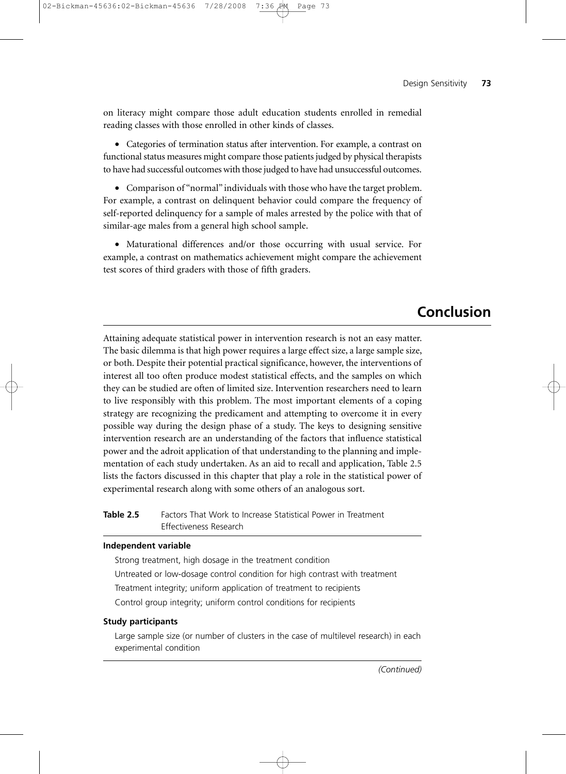on literacy might compare those adult education students enrolled in remedial reading classes with those enrolled in other kinds of classes.

• Categories of termination status after intervention. For example, a contrast on functional status measures might compare those patients judged by physical therapists to have had successful outcomes with those judged to have had unsuccessful outcomes.

• Comparison of "normal" individuals with those who have the target problem. For example, a contrast on delinquent behavior could compare the frequency of self-reported delinquency for a sample of males arrested by the police with that of similar-age males from a general high school sample.

• Maturational differences and/or those occurring with usual service. For example, a contrast on mathematics achievement might compare the achievement test scores of third graders with those of fifth graders.

# **Conclusion**

Attaining adequate statistical power in intervention research is not an easy matter. The basic dilemma is that high power requires a large effect size, a large sample size, or both. Despite their potential practical significance, however, the interventions of interest all too often produce modest statistical effects, and the samples on which they can be studied are often of limited size. Intervention researchers need to learn to live responsibly with this problem. The most important elements of a coping strategy are recognizing the predicament and attempting to overcome it in every possible way during the design phase of a study. The keys to designing sensitive intervention research are an understanding of the factors that influence statistical power and the adroit application of that understanding to the planning and implementation of each study undertaken. As an aid to recall and application, Table 2.5 lists the factors discussed in this chapter that play a role in the statistical power of experimental research along with some others of an analogous sort.

### **Table 2.5** Factors That Work to Increase Statistical Power in Treatment Effectiveness Research

### **Independent variable**

Strong treatment, high dosage in the treatment condition Untreated or low-dosage control condition for high contrast with treatment Treatment integrity; uniform application of treatment to recipients Control group integrity; uniform control conditions for recipients

### **Study participants**

Large sample size (or number of clusters in the case of multilevel research) in each experimental condition

*(Continued)*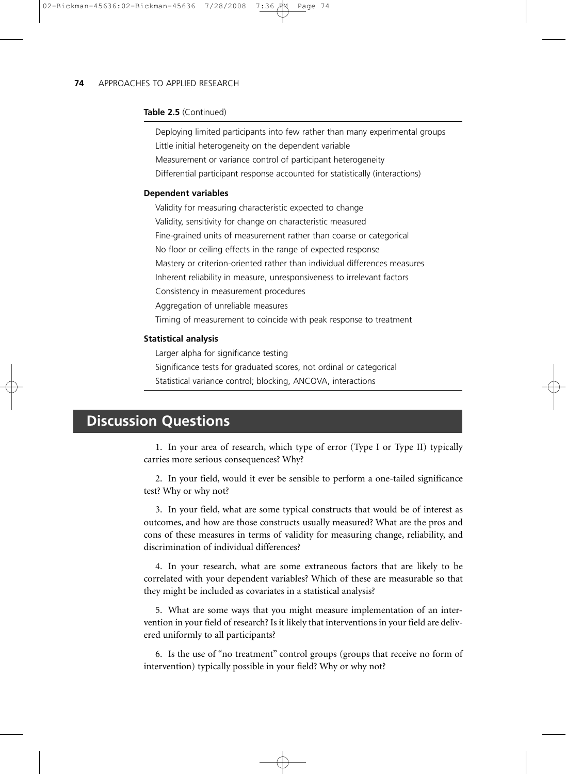#### **Table 2.5** (Continued)

Deploying limited participants into few rather than many experimental groups Little initial heterogeneity on the dependent variable Measurement or variance control of participant heterogeneity Differential participant response accounted for statistically (interactions)

#### **Dependent variables**

Validity for measuring characteristic expected to change Validity, sensitivity for change on characteristic measured Fine-grained units of measurement rather than coarse or categorical No floor or ceiling effects in the range of expected response Mastery or criterion-oriented rather than individual differences measures Inherent reliability in measure, unresponsiveness to irrelevant factors Consistency in measurement procedures Aggregation of unreliable measures Timing of measurement to coincide with peak response to treatment

#### **Statistical analysis**

Larger alpha for significance testing Significance tests for graduated scores, not ordinal or categorical Statistical variance control; blocking, ANCOVA, interactions

# **Discussion Questions**

1. In your area of research, which type of error (Type I or Type II) typically carries more serious consequences? Why?

2. In your field, would it ever be sensible to perform a one-tailed significance test? Why or why not?

3. In your field, what are some typical constructs that would be of interest as outcomes, and how are those constructs usually measured? What are the pros and cons of these measures in terms of validity for measuring change, reliability, and discrimination of individual differences?

4. In your research, what are some extraneous factors that are likely to be correlated with your dependent variables? Which of these are measurable so that they might be included as covariates in a statistical analysis?

5. What are some ways that you might measure implementation of an intervention in your field of research? Is it likely that interventions in your field are delivered uniformly to all participants?

6. Is the use of "no treatment" control groups (groups that receive no form of intervention) typically possible in your field? Why or why not?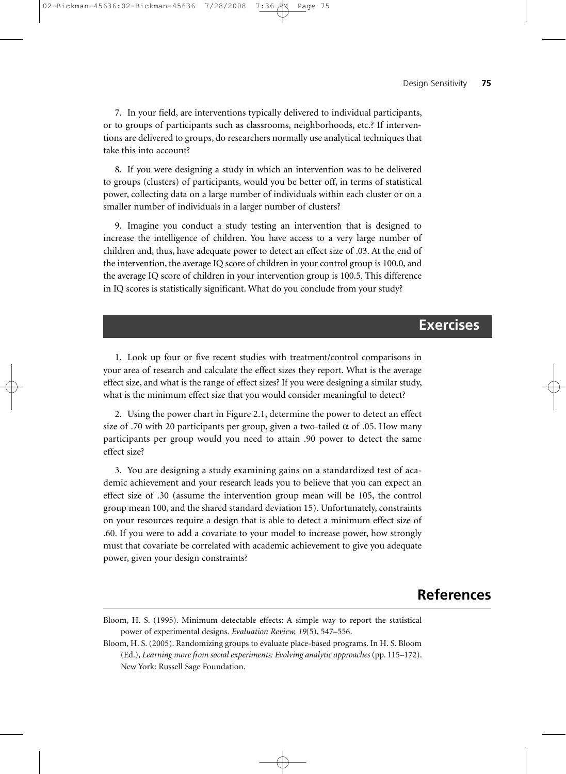7. In your field, are interventions typically delivered to individual participants, or to groups of participants such as classrooms, neighborhoods, etc.? If interventions are delivered to groups, do researchers normally use analytical techniques that take this into account?

8. If you were designing a study in which an intervention was to be delivered to groups (clusters) of participants, would you be better off, in terms of statistical power, collecting data on a large number of individuals within each cluster or on a smaller number of individuals in a larger number of clusters?

9. Imagine you conduct a study testing an intervention that is designed to increase the intelligence of children. You have access to a very large number of children and, thus, have adequate power to detect an effect size of .03. At the end of the intervention, the average IQ score of children in your control group is 100.0, and the average IQ score of children in your intervention group is 100.5. This difference in IQ scores is statistically significant. What do you conclude from your study?

# **Exercises**

1. Look up four or five recent studies with treatment/control comparisons in your area of research and calculate the effect sizes they report. What is the average effect size, and what is the range of effect sizes? If you were designing a similar study, what is the minimum effect size that you would consider meaningful to detect?

2. Using the power chart in Figure 2.1, determine the power to detect an effect size of .70 with 20 participants per group, given a two-tailed  $\alpha$  of .05. How many participants per group would you need to attain .90 power to detect the same effect size?

3. You are designing a study examining gains on a standardized test of academic achievement and your research leads you to believe that you can expect an effect size of .30 (assume the intervention group mean will be 105, the control group mean 100, and the shared standard deviation 15). Unfortunately, constraints on your resources require a design that is able to detect a minimum effect size of .60. If you were to add a covariate to your model to increase power, how strongly must that covariate be correlated with academic achievement to give you adequate power, given your design constraints?

# **References**

Bloom, H. S. (1995). Minimum detectable effects: A simple way to report the statistical power of experimental designs. *Evaluation Review, 19*(5), 547–556.

Bloom, H. S. (2005). Randomizing groups to evaluate place-based programs. In H. S. Bloom (Ed.), *Learning more from social experiments: Evolving analytic approaches* (pp. 115–172). New York: Russell Sage Foundation.